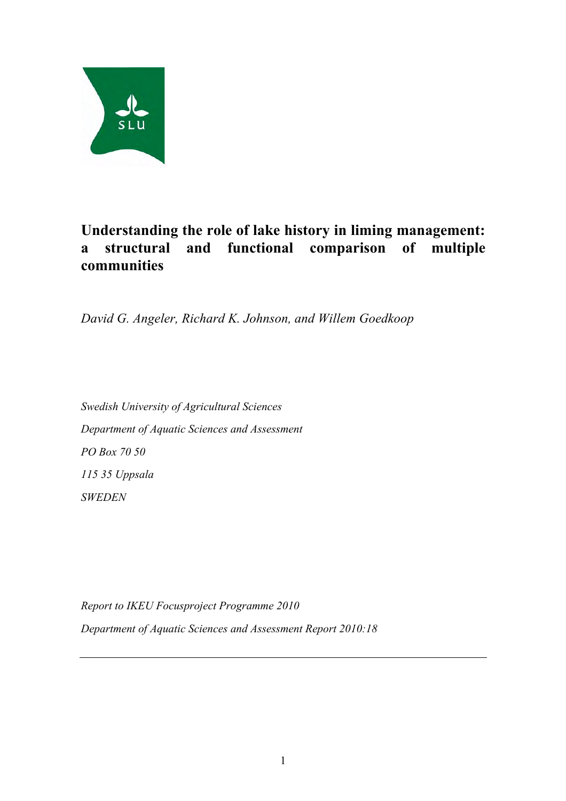

# **Understanding the role of lake history in liming management: a structural and functional comparison of multiple communities**

*David G. Angeler, Richard K. Johnson, and Willem Goedkoop* 

*Swedish University of Agricultural Sciences Department of Aquatic Sciences and Assessment PO Box 70 50 115 35 Uppsala SWEDEN*

*Report to IKEU Focusproject Programme 2010 Department of Aquatic Sciences and Assessment Report 2010:18*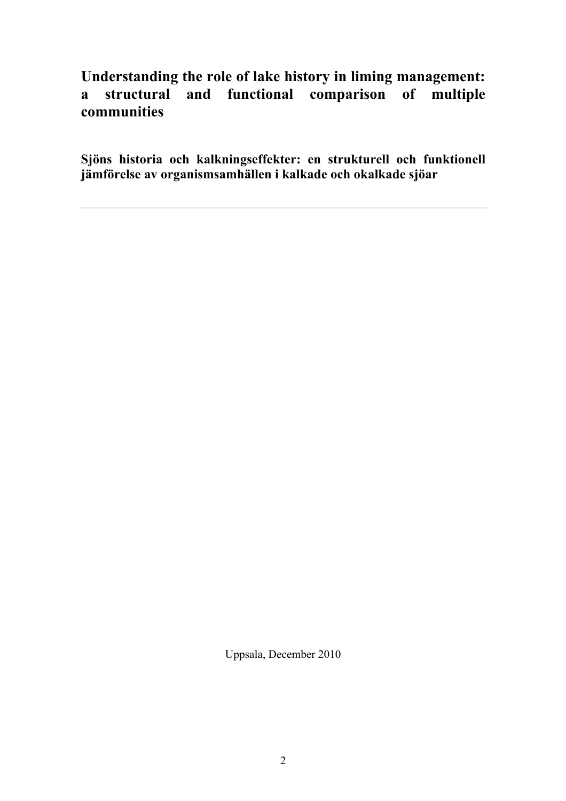# **Understanding the role of lake history in liming management: a structural and functional comparison of multiple communities**

**Sjöns historia och kalkningseffekter: en strukturell och funktionell jämförelse av organismsamhällen i kalkade och okalkade sjöar**

Uppsala, December 2010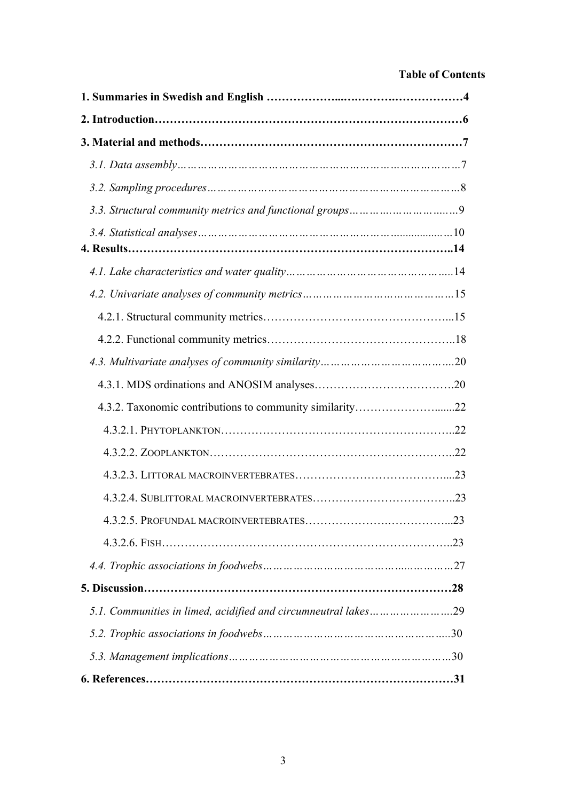# **Table of Contents**

| 4.3.2. Taxonomic contributions to community similarity22       |  |
|----------------------------------------------------------------|--|
|                                                                |  |
|                                                                |  |
|                                                                |  |
|                                                                |  |
|                                                                |  |
|                                                                |  |
|                                                                |  |
|                                                                |  |
| 5.1. Communities in limed, acidified and circumneutral lakes29 |  |
|                                                                |  |
|                                                                |  |
|                                                                |  |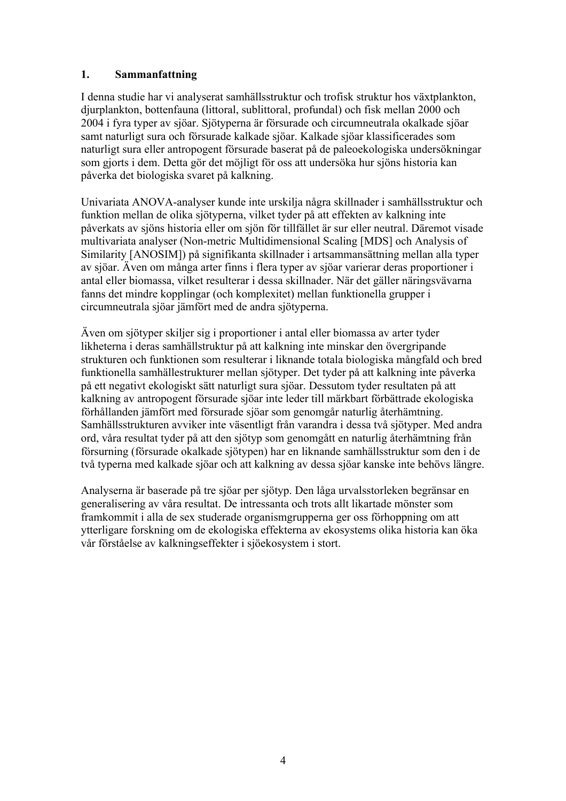# **1. Sammanfattning**

I denna studie har vi analyserat samhällsstruktur och trofisk struktur hos växtplankton, djurplankton, bottenfauna (littoral, sublittoral, profundal) och fisk mellan 2000 och 2004 i fyra typer av sjöar. Sjötyperna är försurade och circumneutrala okalkade sjöar samt naturligt sura och försurade kalkade sjöar. Kalkade sjöar klassificerades som naturligt sura eller antropogent försurade baserat på de paleoekologiska undersökningar som gjorts i dem. Detta gör det möjligt för oss att undersöka hur sjöns historia kan påverka det biologiska svaret på kalkning.

Univariata ANOVA-analyser kunde inte urskilja några skillnader i samhällsstruktur och funktion mellan de olika sjötyperna, vilket tyder på att effekten av kalkning inte påverkats av sjöns historia eller om sjön för tillfället är sur eller neutral. Däremot visade multivariata analyser (Non-metric Multidimensional Scaling [MDS] och Analysis of Similarity [ANOSIM]) på signifikanta skillnader i artsammansättning mellan alla typer av sjöar. Även om många arter finns i flera typer av sjöar varierar deras proportioner i antal eller biomassa, vilket resulterar i dessa skillnader. När det gäller näringsvävarna fanns det mindre kopplingar (och komplexitet) mellan funktionella grupper i circumneutrala sjöar jämfört med de andra sjötyperna.

Även om sjötyper skiljer sig i proportioner i antal eller biomassa av arter tyder likheterna i deras samhällstruktur på att kalkning inte minskar den övergripande strukturen och funktionen som resulterar i liknande totala biologiska mångfald och bred funktionella samhällestrukturer mellan sjötyper. Det tyder på att kalkning inte påverka på ett negativt ekologiskt sätt naturligt sura sjöar. Dessutom tyder resultaten på att kalkning av antropogent försurade sjöar inte leder till märkbart förbättrade ekologiska förhållanden jämfört med försurade sjöar som genomgår naturlig återhämtning. Samhällsstrukturen avviker inte väsentligt från varandra i dessa två sjötyper. Med andra ord, våra resultat tyder på att den sjötyp som genomgått en naturlig återhämtning från försurning (försurade okalkade sjötypen) har en liknande samhällsstruktur som den i de två typerna med kalkade sjöar och att kalkning av dessa sjöar kanske inte behövs längre.

Analyserna är baserade på tre sjöar per sjötyp. Den låga urvalsstorleken begränsar en generalisering av våra resultat. De intressanta och trots allt likartade mönster som framkommit i alla de sex studerade organismgrupperna ger oss förhoppning om att ytterligare forskning om de ekologiska effekterna av ekosystems olika historia kan öka vår förståelse av kalkningseffekter i sjöekosystem i stort.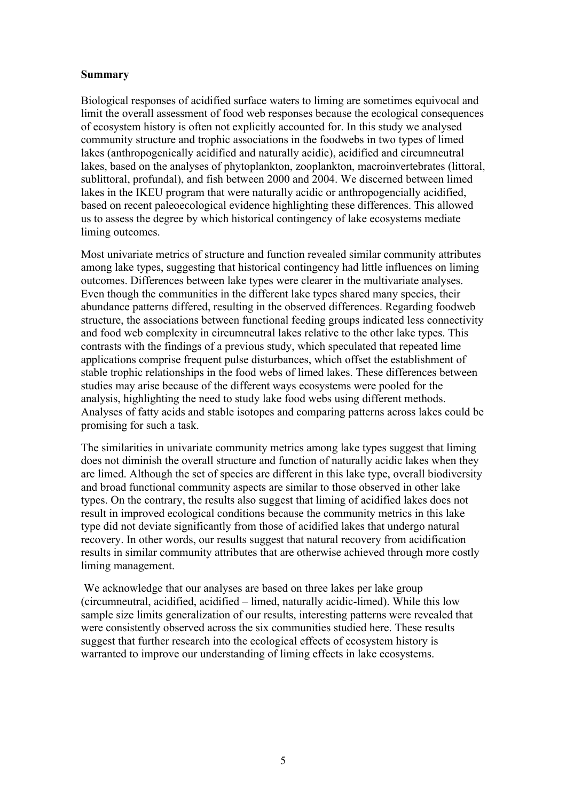## **Summary**

Biological responses of acidified surface waters to liming are sometimes equivocal and limit the overall assessment of food web responses because the ecological consequences of ecosystem history is often not explicitly accounted for. In this study we analysed community structure and trophic associations in the foodwebs in two types of limed lakes (anthropogenically acidified and naturally acidic), acidified and circumneutral lakes, based on the analyses of phytoplankton, zooplankton, macroinvertebrates (littoral, sublittoral, profundal), and fish between 2000 and 2004. We discerned between limed lakes in the IKEU program that were naturally acidic or anthropogencially acidified, based on recent paleoecological evidence highlighting these differences. This allowed us to assess the degree by which historical contingency of lake ecosystems mediate liming outcomes.

Most univariate metrics of structure and function revealed similar community attributes among lake types, suggesting that historical contingency had little influences on liming outcomes. Differences between lake types were clearer in the multivariate analyses. Even though the communities in the different lake types shared many species, their abundance patterns differed, resulting in the observed differences. Regarding foodweb structure, the associations between functional feeding groups indicated less connectivity and food web complexity in circumneutral lakes relative to the other lake types. This contrasts with the findings of a previous study, which speculated that repeated lime applications comprise frequent pulse disturbances, which offset the establishment of stable trophic relationships in the food webs of limed lakes. These differences between studies may arise because of the different ways ecosystems were pooled for the analysis, highlighting the need to study lake food webs using different methods. Analyses of fatty acids and stable isotopes and comparing patterns across lakes could be promising for such a task.

The similarities in univariate community metrics among lake types suggest that liming does not diminish the overall structure and function of naturally acidic lakes when they are limed. Although the set of species are different in this lake type, overall biodiversity and broad functional community aspects are similar to those observed in other lake types. On the contrary, the results also suggest that liming of acidified lakes does not result in improved ecological conditions because the community metrics in this lake type did not deviate significantly from those of acidified lakes that undergo natural recovery. In other words, our results suggest that natural recovery from acidification results in similar community attributes that are otherwise achieved through more costly liming management.

We acknowledge that our analyses are based on three lakes per lake group (circumneutral, acidified, acidified – limed, naturally acidic-limed). While this low sample size limits generalization of our results, interesting patterns were revealed that were consistently observed across the six communities studied here. These results suggest that further research into the ecological effects of ecosystem history is warranted to improve our understanding of liming effects in lake ecosystems.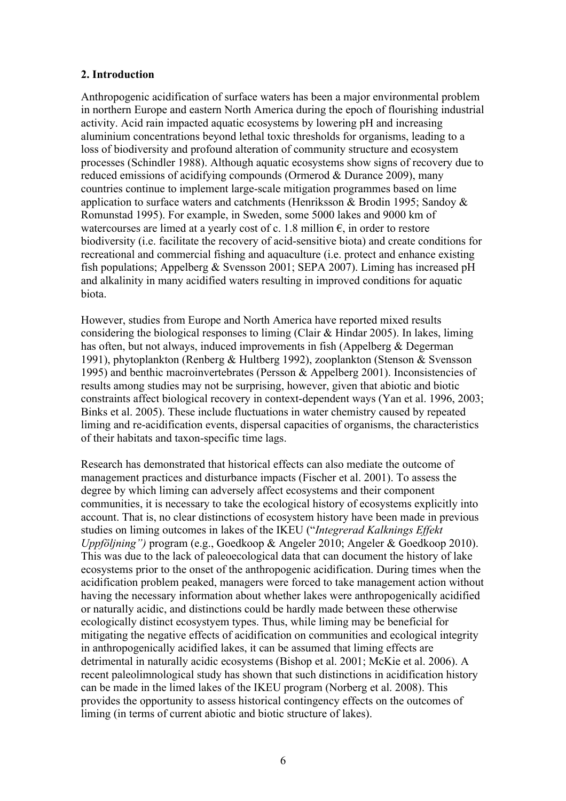## **2. Introduction**

Anthropogenic acidification of surface waters has been a major environmental problem in northern Europe and eastern North America during the epoch of flourishing industrial activity. Acid rain impacted aquatic ecosystems by lowering pH and increasing aluminium concentrations beyond lethal toxic thresholds for organisms, leading to a loss of biodiversity and profound alteration of community structure and ecosystem processes (Schindler 1988). Although aquatic ecosystems show signs of recovery due to reduced emissions of acidifying compounds (Ormerod & Durance 2009), many countries continue to implement large-scale mitigation programmes based on lime application to surface waters and catchments (Henriksson & Brodin 1995; Sandoy & Romunstad 1995). For example, in Sweden, some 5000 lakes and 9000 km of watercourses are limed at a yearly cost of c. 1.8 million  $\epsilon$ , in order to restore biodiversity (i.e. facilitate the recovery of acid-sensitive biota) and create conditions for recreational and commercial fishing and aquaculture (i.e. protect and enhance existing fish populations; Appelberg & Svensson 2001; SEPA 2007). Liming has increased pH and alkalinity in many acidified waters resulting in improved conditions for aquatic biota.

However, studies from Europe and North America have reported mixed results considering the biological responses to liming (Clair & Hindar 2005). In lakes, liming has often, but not always, induced improvements in fish (Appelberg & Degerman 1991), phytoplankton (Renberg & Hultberg 1992), zooplankton (Stenson & Svensson 1995) and benthic macroinvertebrates (Persson & Appelberg 2001). Inconsistencies of results among studies may not be surprising, however, given that abiotic and biotic constraints affect biological recovery in context-dependent ways (Yan et al. 1996, 2003; Binks et al. 2005). These include fluctuations in water chemistry caused by repeated liming and re-acidification events, dispersal capacities of organisms, the characteristics of their habitats and taxon-specific time lags.

Research has demonstrated that historical effects can also mediate the outcome of management practices and disturbance impacts (Fischer et al. 2001). To assess the degree by which liming can adversely affect ecosystems and their component communities, it is necessary to take the ecological history of ecosystems explicitly into account. That is, no clear distinctions of ecosystem history have been made in previous studies on liming outcomes in lakes of the IKEU ("*Integrerad Kalknings Effekt Uppföljning")* program (e.g., Goedkoop & Angeler 2010; Angeler & Goedkoop 2010). This was due to the lack of paleoecological data that can document the history of lake ecosystems prior to the onset of the anthropogenic acidification. During times when the acidification problem peaked, managers were forced to take management action without having the necessary information about whether lakes were anthropogenically acidified or naturally acidic, and distinctions could be hardly made between these otherwise ecologically distinct ecosystyem types. Thus, while liming may be beneficial for mitigating the negative effects of acidification on communities and ecological integrity in anthropogenically acidified lakes, it can be assumed that liming effects are detrimental in naturally acidic ecosystems (Bishop et al. 2001; McKie et al. 2006). A recent paleolimnological study has shown that such distinctions in acidification history can be made in the limed lakes of the IKEU program (Norberg et al. 2008). This provides the opportunity to assess historical contingency effects on the outcomes of liming (in terms of current abiotic and biotic structure of lakes).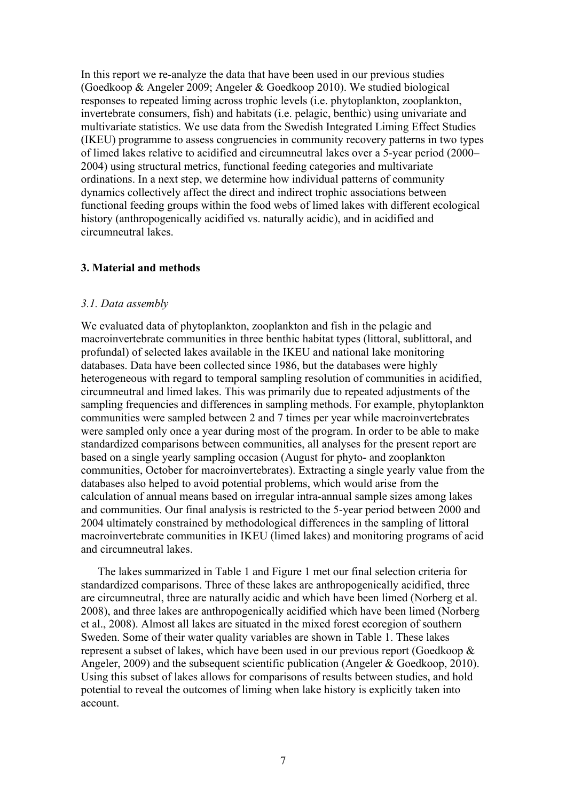In this report we re-analyze the data that have been used in our previous studies (Goedkoop & Angeler 2009; Angeler & Goedkoop 2010). We studied biological responses to repeated liming across trophic levels (i.e. phytoplankton, zooplankton, invertebrate consumers, fish) and habitats (i.e. pelagic, benthic) using univariate and multivariate statistics. We use data from the Swedish Integrated Liming Effect Studies (IKEU) programme to assess congruencies in community recovery patterns in two types of limed lakes relative to acidified and circumneutral lakes over a 5-year period (2000– 2004) using structural metrics, functional feeding categories and multivariate ordinations. In a next step, we determine how individual patterns of community dynamics collectively affect the direct and indirect trophic associations between functional feeding groups within the food webs of limed lakes with different ecological history (anthropogenically acidified vs. naturally acidic), and in acidified and circumneutral lakes.

#### **3. Material and methods**

#### *3.1. Data assembly*

We evaluated data of phytoplankton, zooplankton and fish in the pelagic and macroinvertebrate communities in three benthic habitat types (littoral, sublittoral, and profundal) of selected lakes available in the IKEU and national lake monitoring databases. Data have been collected since 1986, but the databases were highly heterogeneous with regard to temporal sampling resolution of communities in acidified, circumneutral and limed lakes. This was primarily due to repeated adjustments of the sampling frequencies and differences in sampling methods. For example, phytoplankton communities were sampled between 2 and 7 times per year while macroinvertebrates were sampled only once a year during most of the program. In order to be able to make standardized comparisons between communities, all analyses for the present report are based on a single yearly sampling occasion (August for phyto- and zooplankton communities, October for macroinvertebrates). Extracting a single yearly value from the databases also helped to avoid potential problems, which would arise from the calculation of annual means based on irregular intra-annual sample sizes among lakes and communities. Our final analysis is restricted to the 5-year period between 2000 and 2004 ultimately constrained by methodological differences in the sampling of littoral macroinvertebrate communities in IKEU (limed lakes) and monitoring programs of acid and circumneutral lakes.

The lakes summarized in Table 1 and Figure 1 met our final selection criteria for standardized comparisons. Three of these lakes are anthropogenically acidified, three are circumneutral, three are naturally acidic and which have been limed (Norberg et al. 2008), and three lakes are anthropogenically acidified which have been limed (Norberg et al., 2008). Almost all lakes are situated in the mixed forest ecoregion of southern Sweden. Some of their water quality variables are shown in Table 1. These lakes represent a subset of lakes, which have been used in our previous report (Goedkoop & Angeler, 2009) and the subsequent scientific publication (Angeler & Goedkoop, 2010). Using this subset of lakes allows for comparisons of results between studies, and hold potential to reveal the outcomes of liming when lake history is explicitly taken into account.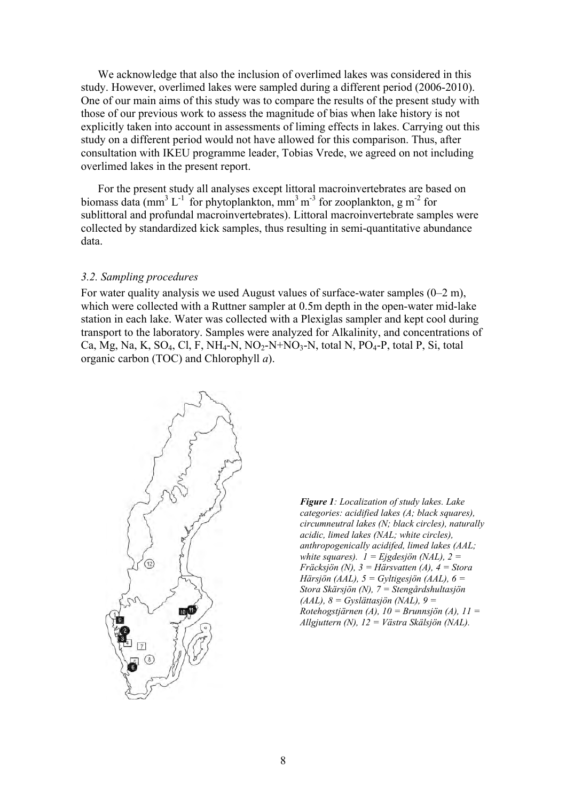We acknowledge that also the inclusion of overlimed lakes was considered in this study. However, overlimed lakes were sampled during a different period (2006-2010). One of our main aims of this study was to compare the results of the present study with those of our previous work to assess the magnitude of bias when lake history is not explicitly taken into account in assessments of liming effects in lakes. Carrying out this study on a different period would not have allowed for this comparison. Thus, after consultation with IKEU programme leader, Tobias Vrede, we agreed on not including overlimed lakes in the present report.

For the present study all analyses except littoral macroinvertebrates are based on biomass data (mm<sup>3</sup> L<sup>-1</sup> for phytoplankton, mm<sup>3</sup> m<sup>-3</sup> for zooplankton, g m<sup>-2</sup> for sublittoral and profundal macroinvertebrates). Littoral macroinvertebrate samples were collected by standardized kick samples, thus resulting in semi-quantitative abundance data.

#### *3.2. Sampling procedures*

For water quality analysis we used August values of surface-water samples (0–2 m), which were collected with a Ruttner sampler at 0.5m depth in the open-water mid-lake station in each lake. Water was collected with a Plexiglas sampler and kept cool during transport to the laboratory. Samples were analyzed for Alkalinity, and concentrations of Ca, Mg, Na, K, SO<sub>4</sub>, Cl, F, NH<sub>4</sub>-N, NO<sub>2</sub>-N+NO<sub>3</sub>-N, total N, PO<sub>4</sub>-P, total P, Si, total organic carbon (TOC) and Chlorophyll *a*).



*Figure 1: Localization of study lakes. Lake categories: acidified lakes (A; black squares), circumneutral lakes (N; black circles), naturally acidic, limed lakes (NAL; white circles), anthropogenically acidifed, limed lakes (AAL;*  white squares).  $I =$  *Ejgdesjön* (NAL),  $2 =$ *Fräcksjön (N), 3 = Härsvatten (A), 4 = Stora Härsjön (AAL), 5 = Gyltigesjön (AAL), 6 = Stora Skärsjön (N), 7 = Stengårdshultasjön (AAL), 8 = Gyslättasjön (NAL), 9 = Rotehogstjärnen (A), 10 = Brunnsjön (A), 11 = Allgjuttern (N), 12 = Västra Skälsjön (NAL).*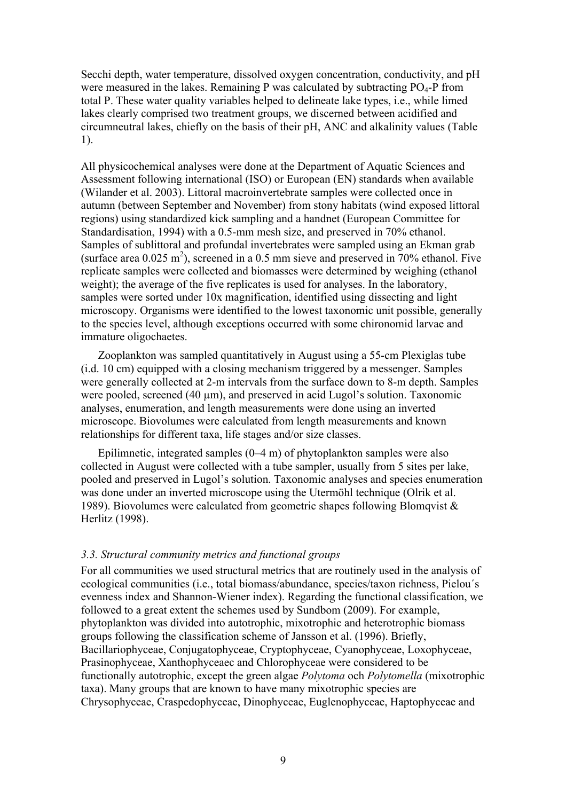Secchi depth, water temperature, dissolved oxygen concentration, conductivity, and pH were measured in the lakes. Remaining P was calculated by subtracting  $PO_4$ -P from total P. These water quality variables helped to delineate lake types, i.e., while limed lakes clearly comprised two treatment groups, we discerned between acidified and circumneutral lakes, chiefly on the basis of their pH, ANC and alkalinity values (Table 1).

All physicochemical analyses were done at the Department of Aquatic Sciences and Assessment following international (ISO) or European (EN) standards when available (Wilander et al. 2003). Littoral macroinvertebrate samples were collected once in autumn (between September and November) from stony habitats (wind exposed littoral regions) using standardized kick sampling and a handnet (European Committee for Standardisation, 1994) with a 0.5-mm mesh size, and preserved in 70% ethanol. Samples of sublittoral and profundal invertebrates were sampled using an Ekman grab (surface area  $0.025$  m<sup>2</sup>), screened in a 0.5 mm sieve and preserved in 70% ethanol. Five replicate samples were collected and biomasses were determined by weighing (ethanol weight); the average of the five replicates is used for analyses. In the laboratory, samples were sorted under 10x magnification, identified using dissecting and light microscopy. Organisms were identified to the lowest taxonomic unit possible, generally to the species level, although exceptions occurred with some chironomid larvae and immature oligochaetes.

Zooplankton was sampled quantitatively in August using a 55-cm Plexiglas tube (i.d. 10 cm) equipped with a closing mechanism triggered by a messenger. Samples were generally collected at 2-m intervals from the surface down to 8-m depth. Samples were pooled, screened  $(40 \text{ µm})$ , and preserved in acid Lugol's solution. Taxonomic analyses, enumeration, and length measurements were done using an inverted microscope. Biovolumes were calculated from length measurements and known relationships for different taxa, life stages and/or size classes.

Epilimnetic, integrated samples (0–4 m) of phytoplankton samples were also collected in August were collected with a tube sampler, usually from 5 sites per lake, pooled and preserved in Lugol's solution. Taxonomic analyses and species enumeration was done under an inverted microscope using the Utermöhl technique (Olrik et al. 1989). Biovolumes were calculated from geometric shapes following Blomqvist & Herlitz (1998).

#### *3.3. Structural community metrics and functional groups*

For all communities we used structural metrics that are routinely used in the analysis of ecological communities (i.e., total biomass/abundance, species/taxon richness, Pielou´s evenness index and Shannon-Wiener index). Regarding the functional classification, we followed to a great extent the schemes used by Sundbom (2009). For example, phytoplankton was divided into autotrophic, mixotrophic and heterotrophic biomass groups following the classification scheme of Jansson et al. (1996). Briefly, Bacillariophyceae, Conjugatophyceae, Cryptophyceae, Cyanophyceae, Loxophyceae, Prasinophyceae, Xanthophyceaec and Chlorophyceae were considered to be functionally autotrophic, except the green algae *Polytoma* och *Polytomella* (mixotrophic taxa). Many groups that are known to have many mixotrophic species are Chrysophyceae, Craspedophyceae, Dinophyceae, Euglenophyceae, Haptophyceae and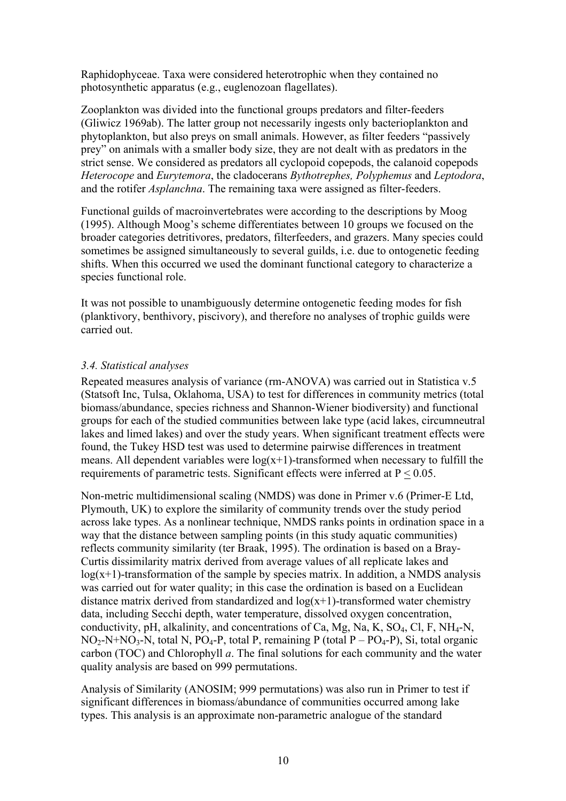Raphidophyceae. Taxa were considered heterotrophic when they contained no photosynthetic apparatus (e.g., euglenozoan flagellates).

Zooplankton was divided into the functional groups predators and filter-feeders (Gliwicz 1969ab). The latter group not necessarily ingests only bacterioplankton and phytoplankton, but also preys on small animals. However, as filter feeders "passively prey" on animals with a smaller body size, they are not dealt with as predators in the strict sense. We considered as predators all cyclopoid copepods, the calanoid copepods *Heterocope* and *Eurytemora*, the cladocerans *Bythotrephes, Polyphemus* and *Leptodora*, and the rotifer *Asplanchna*. The remaining taxa were assigned as filter-feeders.

Functional guilds of macroinvertebrates were according to the descriptions by Moog (1995). Although Moog's scheme differentiates between 10 groups we focused on the broader categories detritivores, predators, filterfeeders, and grazers. Many species could sometimes be assigned simultaneously to several guilds, i.e. due to ontogenetic feeding shifts. When this occurred we used the dominant functional category to characterize a species functional role.

It was not possible to unambiguously determine ontogenetic feeding modes for fish (planktivory, benthivory, piscivory), and therefore no analyses of trophic guilds were carried out.

# *3.4. Statistical analyses*

Repeated measures analysis of variance (rm-ANOVA) was carried out in Statistica v.5 (Statsoft Inc, Tulsa, Oklahoma, USA) to test for differences in community metrics (total biomass/abundance, species richness and Shannon-Wiener biodiversity) and functional groups for each of the studied communities between lake type (acid lakes, circumneutral lakes and limed lakes) and over the study years. When significant treatment effects were found, the Tukey HSD test was used to determine pairwise differences in treatment means. All dependent variables were  $log(x+1)$ -transformed when necessary to fulfill the requirements of parametric tests. Significant effects were inferred at P < 0.05.

Non-metric multidimensional scaling (NMDS) was done in Primer v.6 (Primer-E Ltd, Plymouth, UK) to explore the similarity of community trends over the study period across lake types. As a nonlinear technique, NMDS ranks points in ordination space in a way that the distance between sampling points (in this study aquatic communities) reflects community similarity (ter Braak, 1995). The ordination is based on a Bray-Curtis dissimilarity matrix derived from average values of all replicate lakes and  $log(x+1)$ -transformation of the sample by species matrix. In addition, a NMDS analysis was carried out for water quality; in this case the ordination is based on a Euclidean distance matrix derived from standardized and  $log(x+1)$ -transformed water chemistry data, including Secchi depth, water temperature, dissolved oxygen concentration, conductivity, pH, alkalinity, and concentrations of Ca, Mg, Na, K,  $SO_4$ , Cl, F, NH<sub>4</sub>-N,  $NO<sub>2</sub>-N+NO<sub>3</sub>-N$ , total N,  $PO<sub>4</sub>-P$ , total P, remaining P (total P –  $PO<sub>4</sub>-P$ ), Si, total organic carbon (TOC) and Chlorophyll *a*. The final solutions for each community and the water quality analysis are based on 999 permutations.

Analysis of Similarity (ANOSIM; 999 permutations) was also run in Primer to test if significant differences in biomass/abundance of communities occurred among lake types. This analysis is an approximate non-parametric analogue of the standard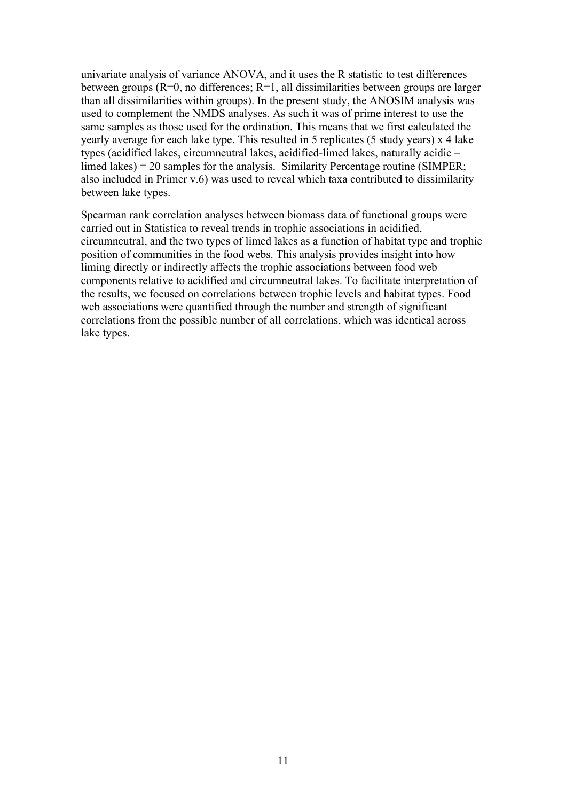univariate analysis of variance ANOVA, and it uses the R statistic to test differences between groups ( $R=0$ , no differences;  $R=1$ , all dissimilarities between groups are larger than all dissimilarities within groups). In the present study, the ANOSIM analysis was used to complement the NMDS analyses. As such it was of prime interest to use the same samples as those used for the ordination. This means that we first calculated the yearly average for each lake type. This resulted in 5 replicates (5 study years) x 4 lake types (acidified lakes, circumneutral lakes, acidified-limed lakes, naturally acidic – limed lakes) = 20 samples for the analysis. Similarity Percentage routine (SIMPER; also included in Primer v.6) was used to reveal which taxa contributed to dissimilarity between lake types.

Spearman rank correlation analyses between biomass data of functional groups were carried out in Statistica to reveal trends in trophic associations in acidified, circumneutral, and the two types of limed lakes as a function of habitat type and trophic position of communities in the food webs. This analysis provides insight into how liming directly or indirectly affects the trophic associations between food web components relative to acidified and circumneutral lakes. To facilitate interpretation of the results, we focused on correlations between trophic levels and habitat types. Food web associations were quantified through the number and strength of significant correlations from the possible number of all correlations, which was identical across lake types.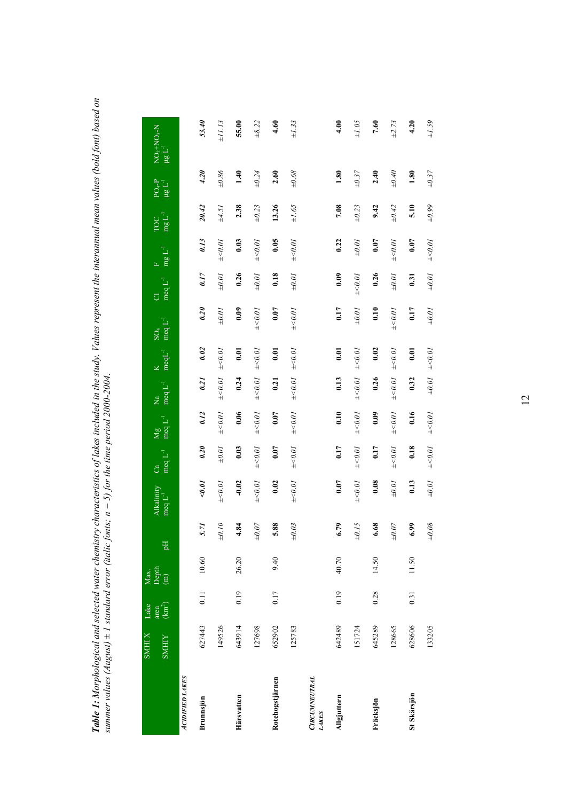| haracteristics of lakes included in the study. Values represent the interannual mean values (bold font) based on<br>; $n = 5$ ) for the time period 2000-2004.<br><b>Table 1:</b> Morphological and selected water chemistry ch<br>summer values $(August) \pm 1$ standard error (italic fonts; |  |
|-------------------------------------------------------------------------------------------------------------------------------------------------------------------------------------------------------------------------------------------------------------------------------------------------|--|

|                               | <b>X IHMS</b> | Lake          | Max.<br>Depth<br>(m) |             |                                           |                                                                           |                      |                                                                       |                       |                                    |                                                                                                                              |                           |                                                                                      |                            |                                                                   |
|-------------------------------|---------------|---------------|----------------------|-------------|-------------------------------------------|---------------------------------------------------------------------------|----------------------|-----------------------------------------------------------------------|-----------------------|------------------------------------|------------------------------------------------------------------------------------------------------------------------------|---------------------------|--------------------------------------------------------------------------------------|----------------------------|-------------------------------------------------------------------|
|                               | <b>SMHIY</b>  | area $(km^2)$ |                      | 핌           | $\frac{\text{Alkality}}{\text{mqL}^{-1}}$ | $\frac{\text{Ca}}{\text{med }L^{-1}}$                                     | $Mg$<br>meq $L^{-1}$ | $\text{Na}$ K<br>meq L <sup>-1</sup> meqL <sup>-1</sup>               |                       | $\operatorname{SO}_4$ meq $L^{-1}$ | $\begin{array}{ll} \mbox{Cl} & \mbox{F} \\ \mbox{~\rm{meq}} \; \mbox{L}^{-1} & \mbox{~\rm{mg}} \; \mbox{L}^{-1} \end{array}$ |                           | $\operatorname*{TC}^{\operatorname*{TC}}_{\operatorname*{mg}\operatorname*{L}^{-1}}$ | $PQ_4-P$<br>$\mu g L^{-1}$ | $\begin{array}{l} \rm{NO_2+NO_3-N} \\ \mu g \ L^{-1} \end{array}$ |
| <b>ACIDIFIED LAKES</b>        |               |               |                      |             |                                           |                                                                           |                      |                                                                       |                       |                                    |                                                                                                                              |                           |                                                                                      |                            |                                                                   |
| Brunnsjön                     | 627443        | 0.11          | 10.60                | 5.71        | $<\!\!\theta.\theta I$                    | 0.20                                                                      | 0.12                 | $0.21$ $0.02$                                                         |                       | 0.20                               | 0.17                                                                                                                         | 0.13                      | 20.42                                                                                | 4.20                       | 53.40                                                             |
|                               | 149526        |               |                      | $070^\circ$ | $_{\pm <0.01}$                            | $\pm 0.01$                                                                | $_{\pm < 0.01}$      | $\pm 0.01$ $\pm 0.01$                                                 |                       | $\pm 0.01$                         | $\pm 0.01$                                                                                                                   | $\pm < 0.01$              | $\pm 4.51$                                                                           | $\pm 0.86$                 | $\pm II.13$                                                       |
| Härsvatten                    | 643914        | 0.19          | 26.20                | 4.84        | $-0.02$                                   | 0.03                                                                      | 0.06                 | $0.24$ 0.01                                                           |                       | 0.09                               | 0.26                                                                                                                         | 0.03                      | 2.38                                                                                 | 1.40                       | 55.00                                                             |
|                               | 127698        |               |                      | $\pm 0.07$  | $_{\pm <0.01}$                            | $_{\pm <0.01}$                                                            |                      | $\begin{array}{rcl} \mp<\!0.01 & \pm<\!0.01 & \pm<\!0.01 \end{array}$ |                       | $^{+\leq 0.01}$                    |                                                                                                                              | $\pm 0.01 \quad \pm 0.01$ | $\pm 0.23$                                                                           | $\pm 0.24$                 | $\pm 8.22$                                                        |
| Rotehogstjärnen               | 652902        | 0.17          | 9.40                 | 5.88        | 0.02                                      | 0.07                                                                      | 0.07                 | 0.21                                                                  | 0.01                  | 0.07                               | 0.18                                                                                                                         | 0.05                      | 13.26                                                                                | 2.60                       | 4.60                                                              |
|                               | 125783        |               |                      | $\pm 0.03$  | $_{\pm <0.01}$                            | $\mp 0.01$                                                                | $\mp 0.01$           |                                                                       | $\pm<0.01$ $\pm<0.01$ | $\mp 0.01$                         | $70.07$                                                                                                                      | $\mp 0.01$                | $\pm 1.65$                                                                           | $\pm 0.68$                 | $\pm 1.33$                                                        |
| <b>CIRCUMNEUTRAL</b><br>LAKES |               |               |                      |             |                                           |                                                                           |                      |                                                                       |                       |                                    |                                                                                                                              |                           |                                                                                      |                            |                                                                   |
| Allgjuttern                   | 642489        | 0.19          | 40.70                | 6.79        | 0.07                                      | 0.17                                                                      | 0.10                 | 0.13                                                                  | 0.01                  | 0.17                               | 0.09                                                                                                                         | 0.22                      | 7.08                                                                                 | 1.80                       | 4.00                                                              |
|                               | 151724        |               |                      | $\pm 0.15$  | $_{\pm < 0.01}$                           | $_{\pm <0.01}$                                                            | $_{\pm <0.01}$       | $\pm<\!0.01\phantom{0} \pm<\!0.01$                                    |                       | $\pm 0.01$                         | $\mp 0.01$                                                                                                                   | $^{\pm 0.01}$             | $\pm 0.23$                                                                           | $\pm 0.37$                 | $\pm 1.05$                                                        |
| Fräcksjön                     | 645289        | 0.28          | 14.50                | 6.68        | 0.08                                      | 0.17                                                                      | 0.09                 | $0.26$ $0.02$                                                         |                       | 0.10                               | 0.26                                                                                                                         | 0.07                      | 9.42                                                                                 | 2.40                       | 7.60                                                              |
|                               | 128665        |               |                      | $\pm 0.07$  | $\overline{100^\mp}$                      | $_{\pm<0.01}$                                                             | $\pm<0.01$           | $\pm<0.01\quad \pm<0.01$                                              |                       | $^{+\leq 0.01}$                    | $\pm 0.01$                                                                                                                   | $\mp 0.01$                | $\pm 0.42$                                                                           | $\pm 0.40$                 | $\pm 2.73$                                                        |
| St Skärsjön                   | 628606        | 0.31          | 11.50                | 6.99        | 0.13                                      | 0.18                                                                      | 0.16                 | 0.32                                                                  | 0.01                  | 0.17                               | 0.31                                                                                                                         | 0.07                      | 5.10                                                                                 | 1.80                       | 4.20                                                              |
|                               | 133205        |               |                      | $\pm 0.08$  |                                           | $\pm 0.01 \quad \pm <0.01 \quad \pm <0.01 \quad \pm 0.01 \quad \pm <0.01$ |                      |                                                                       |                       |                                    | $\pm 0.01$ $\pm 0.01$ $\pm < 0.01$ $\pm 0.99$                                                                                |                           |                                                                                      | $\pm 0.37$                 | $\pm 1.59$                                                        |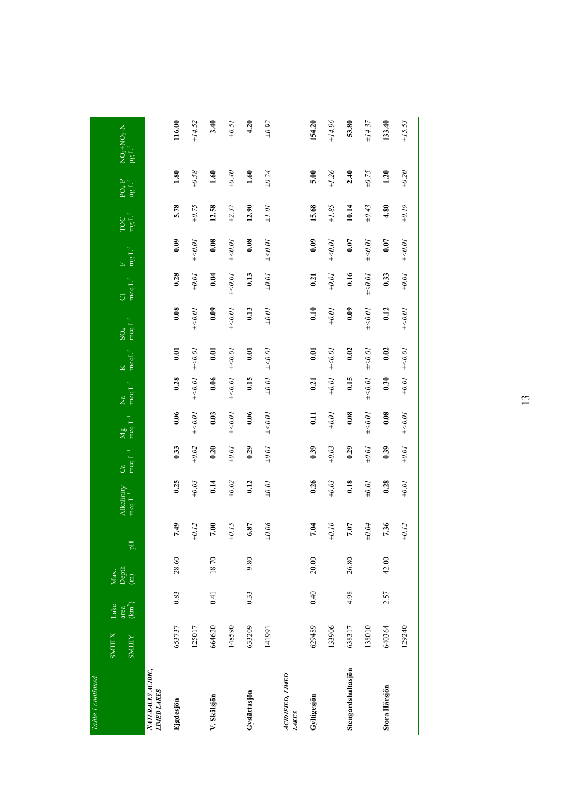| Table I continued                      |                              |                               |                                                                        |                  |                                    |                                       |                                                     |                                               |                                         |                                        |                                |                                                 |                                                       |                                 |                                                                             |
|----------------------------------------|------------------------------|-------------------------------|------------------------------------------------------------------------|------------------|------------------------------------|---------------------------------------|-----------------------------------------------------|-----------------------------------------------|-----------------------------------------|----------------------------------------|--------------------------------|-------------------------------------------------|-------------------------------------------------------|---------------------------------|-----------------------------------------------------------------------------|
|                                        | <b>SMHIX</b><br><b>SMHIY</b> | $\frac{area}{(km^2)}$<br>Lake | $\begin{array}{c} \text{Max.}\\ \text{Depth}\\ \text{(m)} \end{array}$ | 긤                | Alkalinity<br>$\text{mod } L^{-1}$ | meq L <sup>-1</sup><br>C <sub>a</sub> | $\frac{\text{Mg}}{\text{m} \text{g} \text{L}^{-1}}$ | $\rm{meq}\,L^{-1}$<br>$\overline{\mathsf{z}}$ | $\text{med} \Gamma^1$<br>$\overline{K}$ | meq L <sup>-1</sup><br>$\mathrm{SO}_4$ | meq $L^{-1}$<br>$\overline{O}$ | $\frac{\mathrm{F}}{\mathrm{mg}}\mathbf{L}^{-1}$ | $\operatorname*{TOC}_{\mathbf{mg}\, \mathbf{L}^{-1}}$ | $PO4-P$<br>$\mu g L^{-1}$       | $\begin{array}{l} \rm{NO_{2}+NO_{3}-N} \\ \mu g \; \rm{L}^{-1} \end{array}$ |
| NATURALI ACIDIC,<br><b>LIMED LAKES</b> |                              |                               |                                                                        |                  |                                    |                                       |                                                     |                                               |                                         |                                        |                                |                                                 |                                                       |                                 |                                                                             |
| Ejgdesjön                              | 653737                       | 0.83                          | 28.60                                                                  | 7.49             | 0.25                               | 0.33                                  | 0.06                                                | 0.28                                          | 0.01                                    | 0.08                                   | 0.28                           | 0.09                                            | 5.78                                                  | 1.80                            | 116.00                                                                      |
|                                        | 125017                       |                               |                                                                        | $\pm 0.12$       | $\pm 0.03$                         | $\pm 0.02$                            | $\pm$ <0.01                                         | $\pm$ <0.01                                   | $\pm 0.01$                              | $\pm$ <0.01                            | $\pm 0.01$                     | $\pm 0.01$                                      | $\pm 0.75$                                            | $+0.58$                         | ±14.52                                                                      |
| V. Skälsjön                            | 664620                       | 0.41                          | 18.70                                                                  | 7.00             | 0.14                               | 0.20                                  | 0.03                                                | 0.06                                          | 0.01                                    | 0.09                                   | 0.04                           | 0.08                                            | 12.58                                                 | 1.60                            | 3.40                                                                        |
|                                        | 148590                       |                               |                                                                        | $\pm 0.15$       | $\pm 0.02$                         | $\pm 0.01$                            | $\pm$ <0.01                                         | 450.01                                        | $\pm 0.01$                              | $\pm$ <0.01                            | $\pm 0.01$                     | $\pm 0.01$                                      | $\pm 2.37$                                            | $\theta\!\!\not\!+\!\!\theta\!$ | $\pm 0.5I$                                                                  |
| Gyslättasjön                           | 633209                       | 0.33                          | 9.80                                                                   | 6.87             | 0.12                               | 0.29                                  | 0.06                                                | 0.15                                          | 0.01                                    | 0.13                                   | 0.13                           | 0.08                                            | 12.90                                                 | 1.60                            | 4.20                                                                        |
|                                        | 141991                       |                               |                                                                        | $90\,\mathrm{O}$ | $\overline{10'0^+}$                | $\pm 0.01$                            | $\pm 0.01$                                          | $\pm 0.01$                                    | $\pm 0.01$                              | $\pm 0.01$                             | $\pm 0.01$                     | $\pm 0.01$                                      | $\pm 1.01$                                            | $\pm 0.24$                      | $\pm 0.92$                                                                  |
| АСГОГЕД, LIMED<br><b>LAKES</b>         |                              |                               |                                                                        |                  |                                    |                                       |                                                     |                                               |                                         |                                        |                                |                                                 |                                                       |                                 |                                                                             |
| Gyltigesjön                            | 629489                       | 0.40                          | 20.00                                                                  | 7.04             | 0.26                               | 0.39                                  | 11                                                  | 0.21                                          | 0.01                                    | 0.10                                   | 0.21                           | 0.09                                            | 15.68                                                 | 5.00                            | 154.20                                                                      |
|                                        | 133906                       |                               |                                                                        | $\pm 0.10$       | $\pm 0.03$                         | $\pm 0.03$                            | $\overline{1000}$                                   | $\pm 0.01$                                    | $\pm<0.01$                              | $\pm 0.01$                             | $\tau_{0.0\pm}$                | 40.07                                           | $\pm 1.85$                                            | $\pm 1.26$                      | $96.717$                                                                    |
| Stengårdshultasjön                     | 638317                       | 4.98                          | 26.80                                                                  | 7.07             | 0.18                               | 0.29                                  | 0.08                                                | 0.15                                          | 0.02                                    | 0.09                                   | 0.16                           | 0.07                                            | 10.14                                                 | 2.40                            | 53.80                                                                       |
|                                        | 138010                       |                               |                                                                        | $\pm0.04$        | $\pm 0.01$                         | $\pm 0.01$                            | $\mp 0.01$                                          | $\mp 0.01$                                    | $\pm 0.01$                              | $\mp 0.01$                             | $\mp 0.01$                     | $\mp 0.01$                                      | $\pm 0.43$                                            | $\pm 0.75$                      | $\pm 14.37$                                                                 |
| Stora Härsjön                          | 640364                       | 2.57                          | 42.00                                                                  | 7.36             | 0.28                               | 0.39                                  | 0.08                                                | 0.30                                          | 0.02                                    | 0.12                                   | 0.33                           | 0.07                                            | 4.80                                                  | 1.20                            | 133.40                                                                      |
|                                        | 129240                       |                               |                                                                        | $\pm 0.12$       | $\pm 0.01$                         | $\pm 0.04$                            | $\mp 0.01$                                          | $\pm 0.01$                                    | $\pm<0.01$                              | $\pm<0.01$                             | $\pm 0.01$                     | $\pm<0.01$                                      | $\pm 0.19$                                            | $\pm 0.20$                      | $\pm 15.53$                                                                 |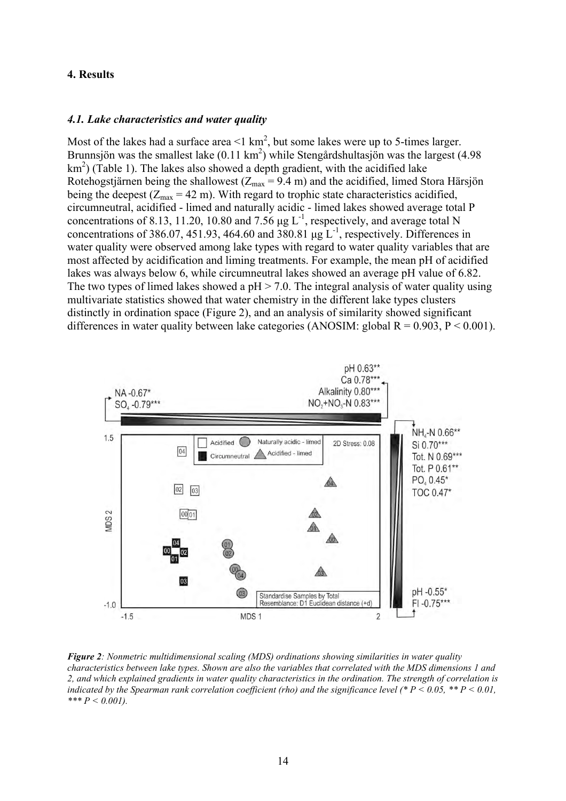### **4. Results**

#### *4.1. Lake characteristics and water quality*

Most of the lakes had a surface area  $\leq 1 \text{ km}^2$ , but some lakes were up to 5-times larger. Brunnsjön was the smallest lake  $(0.11 \text{ km}^2)$  while Stengårdshultasjön was the largest (4.98)  $km<sup>2</sup>$ ) (Table 1). The lakes also showed a depth gradient, with the acidified lake Rotehogstjärnen being the shallowest ( $Z_{\text{max}} = 9.4 \text{ m}$ ) and the acidified, limed Stora Härsjön being the deepest  $(Z_{\text{max}} = 42 \text{ m})$ . With regard to trophic state characteristics acidified, circumneutral, acidified - limed and naturally acidic - limed lakes showed average total P concentrations of 8.13, 11.20, 10.80 and 7.56  $\mu$ g L<sup>-1</sup>, respectively, and average total N concentrations of 386.07, 451.93, 464.60 and 380.81  $\mu$ g L<sup>-1</sup>, respectively. Differences in water quality were observed among lake types with regard to water quality variables that are most affected by acidification and liming treatments. For example, the mean pH of acidified lakes was always below 6, while circumneutral lakes showed an average pH value of 6.82. The two types of limed lakes showed a  $pH > 7.0$ . The integral analysis of water quality using multivariate statistics showed that water chemistry in the different lake types clusters distinctly in ordination space (Figure 2), and an analysis of similarity showed significant differences in water quality between lake categories (ANOSIM: global  $R = 0.903$ ,  $P < 0.001$ ).



*Figure 2: Nonmetric multidimensional scaling (MDS) ordinations showing similarities in water quality characteristics between lake types. Shown are also the variables that correlated with the MDS dimensions 1 and 2, and which explained gradients in water quality characteristics in the ordination. The strength of correlation is indicated by the Spearman rank correlation coefficient (rho) and the significance level (\* P < 0.05, \*\* P < 0.01, \*\*\* P < 0.001).*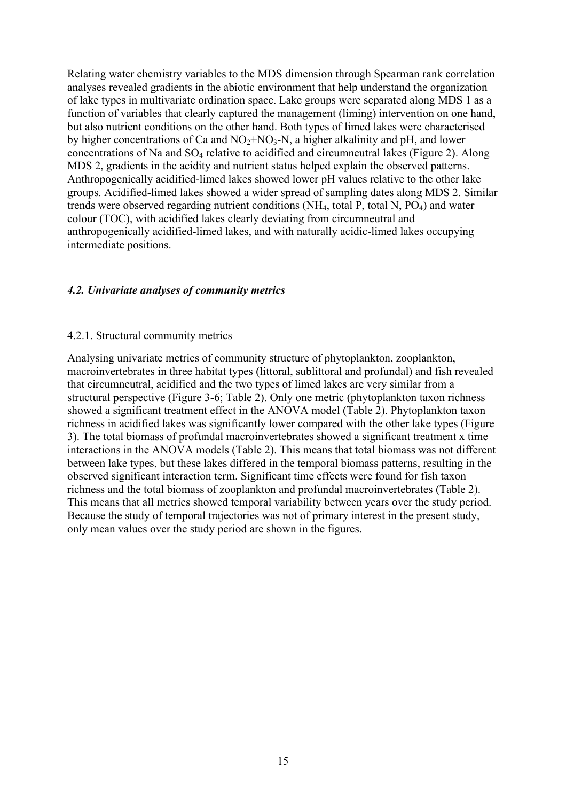Relating water chemistry variables to the MDS dimension through Spearman rank correlation analyses revealed gradients in the abiotic environment that help understand the organization of lake types in multivariate ordination space. Lake groups were separated along MDS 1 as a function of variables that clearly captured the management (liming) intervention on one hand, but also nutrient conditions on the other hand. Both types of limed lakes were characterised by higher concentrations of Ca and  $NO<sub>2</sub>+NO<sub>3</sub>-N$ , a higher alkalinity and pH, and lower concentrations of Na and SO4 relative to acidified and circumneutral lakes (Figure 2). Along MDS 2, gradients in the acidity and nutrient status helped explain the observed patterns. Anthropogenically acidified-limed lakes showed lower pH values relative to the other lake groups. Acidified-limed lakes showed a wider spread of sampling dates along MDS 2. Similar trends were observed regarding nutrient conditions  $(NH_4, \text{ total } P, \text{ total } N, PO_4)$  and water colour (TOC), with acidified lakes clearly deviating from circumneutral and anthropogenically acidified-limed lakes, and with naturally acidic-limed lakes occupying intermediate positions.

## *4.2. Univariate analyses of community metrics*

### 4.2.1. Structural community metrics

Analysing univariate metrics of community structure of phytoplankton, zooplankton, macroinvertebrates in three habitat types (littoral, sublittoral and profundal) and fish revealed that circumneutral, acidified and the two types of limed lakes are very similar from a structural perspective (Figure 3-6; Table 2). Only one metric (phytoplankton taxon richness showed a significant treatment effect in the ANOVA model (Table 2). Phytoplankton taxon richness in acidified lakes was significantly lower compared with the other lake types (Figure 3). The total biomass of profundal macroinvertebrates showed a significant treatment x time interactions in the ANOVA models (Table 2). This means that total biomass was not different between lake types, but these lakes differed in the temporal biomass patterns, resulting in the observed significant interaction term. Significant time effects were found for fish taxon richness and the total biomass of zooplankton and profundal macroinvertebrates (Table 2). This means that all metrics showed temporal variability between years over the study period. Because the study of temporal trajectories was not of primary interest in the present study, only mean values over the study period are shown in the figures.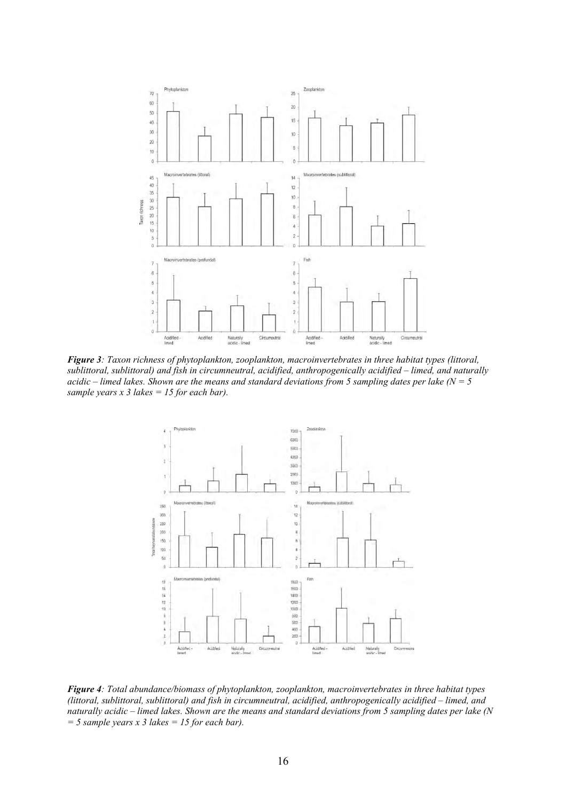

*Figure 3: Taxon richness of phytoplankton, zooplankton, macroinvertebrates in three habitat types (littoral, sublittoral, sublittoral) and fish in circumneutral, acidified, anthropogenically acidified – limed, and naturally acidic – limed lakes. Shown are the means and standard deviations from 5 sampling dates per lake (N = 5 sample years x 3 lakes = 15 for each bar).*



*Figure 4: Total abundance/biomass of phytoplankton, zooplankton, macroinvertebrates in three habitat types (littoral, sublittoral, sublittoral) and fish in circumneutral, acidified, anthropogenically acidified – limed, and naturally acidic – limed lakes. Shown are the means and standard deviations from 5 sampling dates per lake (N = 5 sample years x 3 lakes = 15 for each bar).*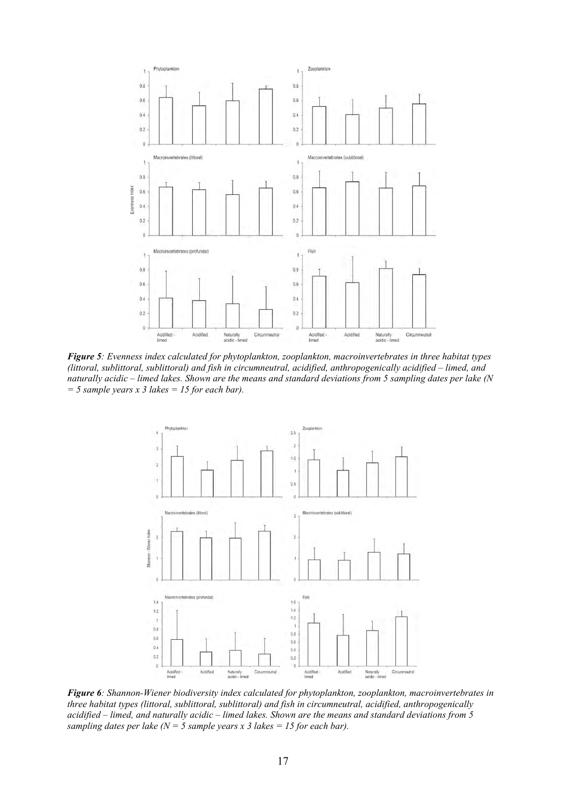

*Figure 5: Evenness index calculated for phytoplankton, zooplankton, macroinvertebrates in three habitat types (littoral, sublittoral, sublittoral) and fish in circumneutral, acidified, anthropogenically acidified – limed, and naturally acidic – limed lakes. Shown are the means and standard deviations from 5 sampling dates per lake (N = 5 sample years x 3 lakes = 15 for each bar).*



*Figure 6: Shannon-Wiener biodiversity index calculated for phytoplankton, zooplankton, macroinvertebrates in three habitat types (littoral, sublittoral, sublittoral) and fish in circumneutral, acidified, anthropogenically acidified – limed, and naturally acidic – limed lakes. Shown are the means and standard deviations from 5 sampling dates per lake (N = 5 sample years x 3 lakes = 15 for each bar).*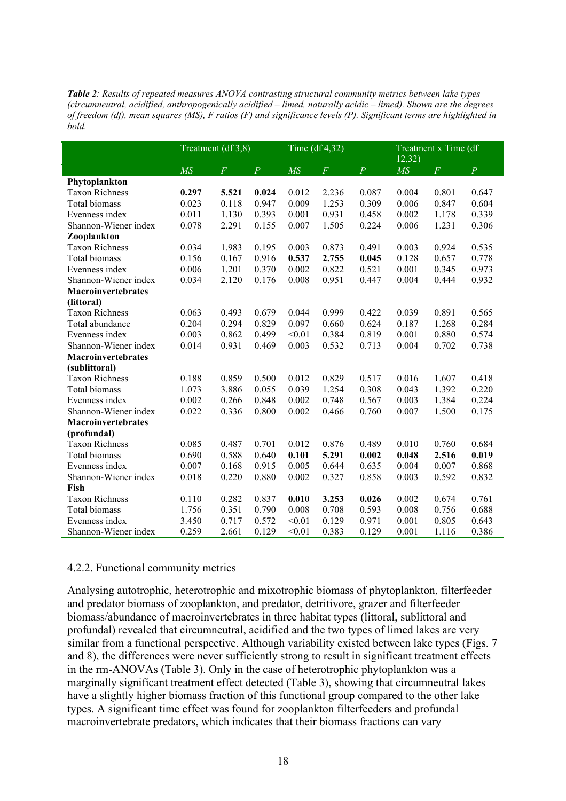*Table 2: Results of repeated measures ANOVA contrasting structural community metrics between lake types (circumneutral, acidified, anthropogenically acidified – limed, naturally acidic – limed). Shown are the degrees of freedom (df), mean squares (MS), F ratios (F) and significance levels (P). Significant terms are highlighted in bold.*

|                           | Treatment (df 3,8) |                |                | Time $(df 4,32)$ |                |                | $\overline{12,32}$ | Treatment x Time (df |                |
|---------------------------|--------------------|----------------|----------------|------------------|----------------|----------------|--------------------|----------------------|----------------|
|                           | $\overline{MS}$    | $\overline{F}$ | $\overline{P}$ | $\overline{MS}$  | $\overline{F}$ | $\overline{P}$ | $\overline{MS}$    | $\overline{F}$       | $\overline{P}$ |
| Phytoplankton             |                    |                |                |                  |                |                |                    |                      |                |
| <b>Taxon Richness</b>     | 0.297              | 5.521          | 0.024          | 0.012            | 2.236          | 0.087          | 0.004              | 0.801                | 0.647          |
| Total biomass             | 0.023              | 0.118          | 0.947          | 0.009            | 1.253          | 0.309          | 0.006              | 0.847                | 0.604          |
| Evenness index            | 0.011              | 1.130          | 0.393          | 0.001            | 0.931          | 0.458          | 0.002              | 1.178                | 0.339          |
| Shannon-Wiener index      | 0.078              | 2.291          | 0.155          | 0.007            | 1.505          | 0.224          | 0.006              | 1.231                | 0.306          |
| Zooplankton               |                    |                |                |                  |                |                |                    |                      |                |
| <b>Taxon Richness</b>     | 0.034              | 1.983          | 0.195          | 0.003            | 0.873          | 0.491          | 0.003              | 0.924                | 0.535          |
| Total biomass             | 0.156              | 0.167          | 0.916          | 0.537            | 2.755          | 0.045          | 0.128              | 0.657                | 0.778          |
| Evenness index            | 0.006              | 1.201          | 0.370          | 0.002            | 0.822          | 0.521          | 0.001              | 0.345                | 0.973          |
| Shannon-Wiener index      | 0.034              | 2.120          | 0.176          | 0.008            | 0.951          | 0.447          | 0.004              | 0.444                | 0.932          |
| Macroinvertebrates        |                    |                |                |                  |                |                |                    |                      |                |
| (littoral)                |                    |                |                |                  |                |                |                    |                      |                |
| <b>Taxon Richness</b>     | 0.063              | 0.493          | 0.679          | 0.044            | 0.999          | 0.422          | 0.039              | 0.891                | 0.565          |
| Total abundance           | 0.204              | 0.294          | 0.829          | 0.097            | 0.660          | 0.624          | 0.187              | 1.268                | 0.284          |
| Evenness index            | 0.003              | 0.862          | 0.499          | < 0.01           | 0.384          | 0.819          | 0.001              | 0.880                | 0.574          |
| Shannon-Wiener index      | 0.014              | 0.931          | 0.469          | 0.003            | 0.532          | 0.713          | 0.004              | 0.702                | 0.738          |
| Macroinvertebrates        |                    |                |                |                  |                |                |                    |                      |                |
| (sublittoral)             |                    |                |                |                  |                |                |                    |                      |                |
| <b>Taxon Richness</b>     | 0.188              | 0.859          | 0.500          | 0.012            | 0.829          | 0.517          | 0.016              | 1.607                | 0.418          |
| Total biomass             | 1.073              | 3.886          | 0.055          | 0.039            | 1.254          | 0.308          | 0.043              | 1.392                | 0.220          |
| Evenness index            | 0.002              | 0.266          | 0.848          | 0.002            | 0.748          | 0.567          | 0.003              | 1.384                | 0.224          |
| Shannon-Wiener index      | 0.022              | 0.336          | 0.800          | 0.002            | 0.466          | 0.760          | 0.007              | 1.500                | 0.175          |
| <b>Macroinvertebrates</b> |                    |                |                |                  |                |                |                    |                      |                |
| (profundal)               |                    |                |                |                  |                |                |                    |                      |                |
| <b>Taxon Richness</b>     | 0.085              | 0.487          | 0.701          | 0.012            | 0.876          | 0.489          | 0.010              | 0.760                | 0.684          |
| Total biomass             | 0.690              | 0.588          | 0.640          | 0.101            | 5.291          | 0.002          | 0.048              | 2.516                | 0.019          |
| Evenness index            | 0.007              | 0.168          | 0.915          | 0.005            | 0.644          | 0.635          | 0.004              | 0.007                | 0.868          |
| Shannon-Wiener index      | 0.018              | 0.220          | 0.880          | 0.002            | 0.327          | 0.858          | 0.003              | 0.592                | 0.832          |
| Fish                      |                    |                |                |                  |                |                |                    |                      |                |
| <b>Taxon Richness</b>     | 0.110              | 0.282          | 0.837          | 0.010            | 3.253          | 0.026          | 0.002              | 0.674                | 0.761          |
| Total biomass             | 1.756              | 0.351          | 0.790          | 0.008            | 0.708          | 0.593          | 0.008              | 0.756                | 0.688          |
| Evenness index            | 3.450              | 0.717          | 0.572          | < 0.01           | 0.129          | 0.971          | 0.001              | 0.805                | 0.643          |
| Shannon-Wiener index      | 0.259              | 2.661          | 0.129          | < 0.01           | 0.383          | 0.129          | 0.001              | 1.116                | 0.386          |

### 4.2.2. Functional community metrics

Analysing autotrophic, heterotrophic and mixotrophic biomass of phytoplankton, filterfeeder and predator biomass of zooplankton, and predator, detritivore, grazer and filterfeeder biomass/abundance of macroinvertebrates in three habitat types (littoral, sublittoral and profundal) revealed that circumneutral, acidified and the two types of limed lakes are very similar from a functional perspective. Although variability existed between lake types (Figs. 7 and 8), the differences were never sufficiently strong to result in significant treatment effects in the rm-ANOVAs (Table 3). Only in the case of heterotrophic phytoplankton was a marginally significant treatment effect detected (Table 3), showing that circumneutral lakes have a slightly higher biomass fraction of this functional group compared to the other lake types. A significant time effect was found for zooplankton filterfeeders and profundal macroinvertebrate predators, which indicates that their biomass fractions can vary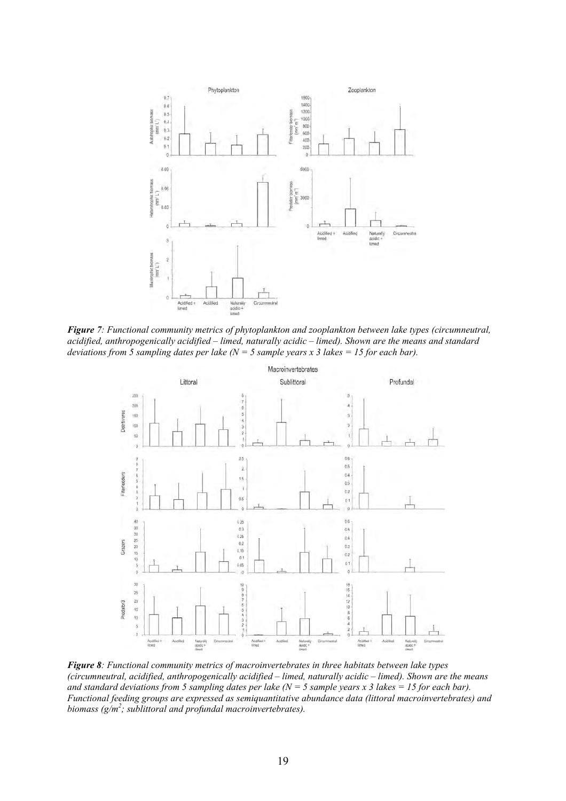

*Figure 7: Functional community metrics of phytoplankton and zooplankton between lake types (circumneutral, acidified, anthropogenically acidified – limed, naturally acidic – limed). Shown are the means and standard deviations from 5 sampling dates per lake (N = 5 sample years x 3 lakes = 15 for each bar).*



*Figure 8: Functional community metrics of macroinvertebrates in three habitats between lake types (circumneutral, acidified, anthropogenically acidified – limed, naturally acidic – limed). Shown are the means and standard deviations from 5 sampling dates per lake (N = 5 sample years x 3 lakes = 15 for each bar). Functional feeding groups are expressed as semiquantitative abundance data (littoral macroinvertebrates) and biomass (g/m<sup>2</sup> ; sublittoral and profundal macroinvertebrates).*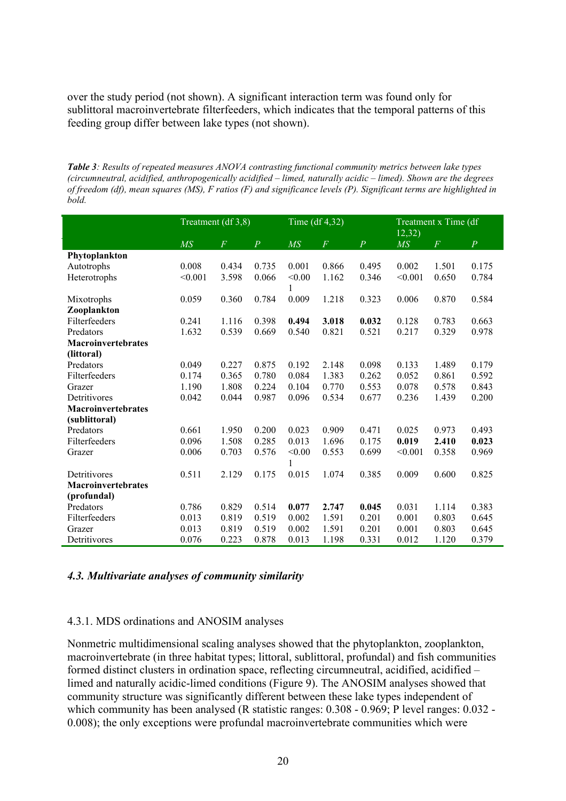over the study period (not shown). A significant interaction term was found only for sublittoral macroinvertebrate filterfeeders, which indicates that the temporal patterns of this feeding group differ between lake types (not shown).

*Table 3: Results of repeated measures ANOVA contrasting functional community metrics between lake types (circumneutral, acidified, anthropogenically acidified – limed, naturally acidic – limed). Shown are the degrees of freedom (df), mean squares (MS), F ratios (F) and significance levels (P). Significant terms are highlighted in bold.*

|                           | Treatment (df 3,8) |                |                | Time $(df 4,32)$ |                |                | $\overline{12,32}$ | Treatment x Time (df |                |
|---------------------------|--------------------|----------------|----------------|------------------|----------------|----------------|--------------------|----------------------|----------------|
|                           | M <sub>S</sub>     | $\overline{F}$ | $\overline{P}$ | $\overline{MS}$  | $\overline{F}$ | $\overline{P}$ | $\overline{MS}$    | $\boldsymbol{F}$     | $\overline{P}$ |
| Phytoplankton             |                    |                |                |                  |                |                |                    |                      |                |
| Autotrophs                | 0.008              | 0.434          | 0.735          | 0.001            | 0.866          | 0.495          | 0.002              | 1.501                | 0.175          |
| Heterotrophs              | < 0.001            | 3.598          | 0.066          | < 0.00           | 1.162          | 0.346          | < 0.001            | 0.650                | 0.784          |
|                           |                    |                |                | 1                |                |                |                    |                      |                |
| Mixotrophs                | 0.059              | 0.360          | 0.784          | 0.009            | 1.218          | 0.323          | 0.006              | 0.870                | 0.584          |
| Zooplankton               |                    |                |                |                  |                |                |                    |                      |                |
| Filterfeeders             | 0.241              | 1.116          | 0.398          | 0.494            | 3.018          | 0.032          | 0.128              | 0.783                | 0.663          |
| Predators                 | 1.632              | 0.539          | 0.669          | 0.540            | 0.821          | 0.521          | 0.217              | 0.329                | 0.978          |
| <b>Macroinvertebrates</b> |                    |                |                |                  |                |                |                    |                      |                |
| (littoral)                |                    |                |                |                  |                |                |                    |                      |                |
| Predators                 | 0.049              | 0.227          | 0.875          | 0.192            | 2.148          | 0.098          | 0.133              | 1.489                | 0.179          |
| Filterfeeders             | 0.174              | 0.365          | 0.780          | 0.084            | 1.383          | 0.262          | 0.052              | 0.861                | 0.592          |
| Grazer                    | 1.190              | 1.808          | 0.224          | 0.104            | 0.770          | 0.553          | 0.078              | 0.578                | 0.843          |
| Detritivores              | 0.042              | 0.044          | 0.987          | 0.096            | 0.534          | 0.677          | 0.236              | 1.439                | 0.200          |
| <b>Macroinvertebrates</b> |                    |                |                |                  |                |                |                    |                      |                |
| (sublittoral)             |                    |                |                |                  |                |                |                    |                      |                |
| Predators                 | 0.661              | 1.950          | 0.200          | 0.023            | 0.909          | 0.471          | 0.025              | 0.973                | 0.493          |
| Filterfeeders             | 0.096              | 1.508          | 0.285          | 0.013            | 1.696          | 0.175          | 0.019              | 2.410                | 0.023          |
| Grazer                    | 0.006              | 0.703          | 0.576          | < 0.00           | 0.553          | 0.699          | < 0.001            | 0.358                | 0.969          |
|                           |                    |                |                | 1                |                |                |                    |                      |                |
| Detritivores              | 0.511              | 2.129          | 0.175          | 0.015            | 1.074          | 0.385          | 0.009              | 0.600                | 0.825          |
| Macroinvertebrates        |                    |                |                |                  |                |                |                    |                      |                |
| (profundal)               |                    |                |                |                  |                |                |                    |                      |                |
| Predators                 | 0.786              | 0.829          | 0.514          | 0.077            | 2.747          | 0.045          | 0.031              | 1.114                | 0.383          |
| Filterfeeders             | 0.013              | 0.819          | 0.519          | 0.002            | 1.591          | 0.201          | 0.001              | 0.803                | 0.645          |
| Grazer                    | 0.013              | 0.819          | 0.519          | 0.002            | 1.591          | 0.201          | 0.001              | 0.803                | 0.645          |
| Detritivores              | 0.076              | 0.223          | 0.878          | 0.013            | 1.198          | 0.331          | 0.012              | 1.120                | 0.379          |

#### *4.3. Multivariate analyses of community similarity*

### 4.3.1. MDS ordinations and ANOSIM analyses

Nonmetric multidimensional scaling analyses showed that the phytoplankton, zooplankton, macroinvertebrate (in three habitat types; littoral, sublittoral, profundal) and fish communities formed distinct clusters in ordination space, reflecting circumneutral, acidified, acidified – limed and naturally acidic-limed conditions (Figure 9). The ANOSIM analyses showed that community structure was significantly different between these lake types independent of which community has been analysed (R statistic ranges:  $0.308 - 0.969$ ; P level ranges:  $0.032 - 0.032$ 0.008); the only exceptions were profundal macroinvertebrate communities which were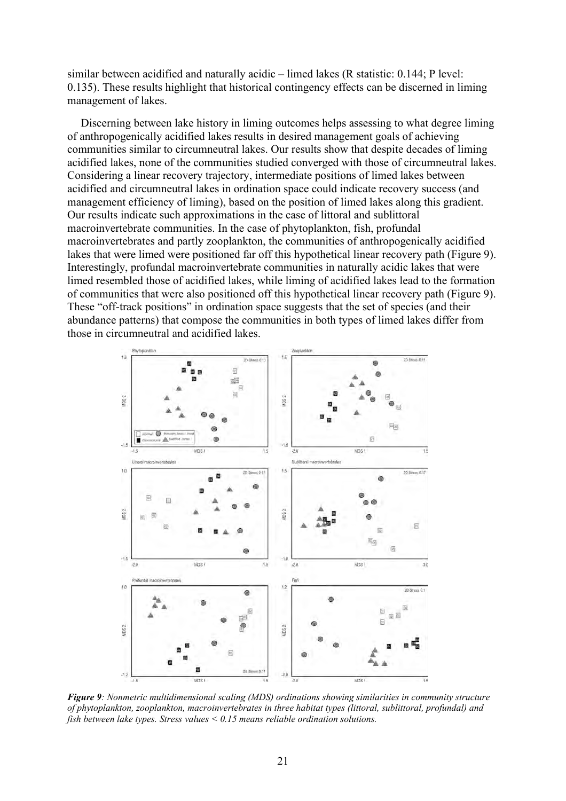similar between acidified and naturally acidic – limed lakes (R statistic: 0.144; P level: 0.135). These results highlight that historical contingency effects can be discerned in liming management of lakes.

Discerning between lake history in liming outcomes helps assessing to what degree liming of anthropogenically acidified lakes results in desired management goals of achieving communities similar to circumneutral lakes. Our results show that despite decades of liming acidified lakes, none of the communities studied converged with those of circumneutral lakes. Considering a linear recovery trajectory, intermediate positions of limed lakes between acidified and circumneutral lakes in ordination space could indicate recovery success (and management efficiency of liming), based on the position of limed lakes along this gradient. Our results indicate such approximations in the case of littoral and sublittoral macroinvertebrate communities. In the case of phytoplankton, fish, profundal macroinvertebrates and partly zooplankton, the communities of anthropogenically acidified lakes that were limed were positioned far off this hypothetical linear recovery path (Figure 9). Interestingly, profundal macroinvertebrate communities in naturally acidic lakes that were limed resembled those of acidified lakes, while liming of acidified lakes lead to the formation of communities that were also positioned off this hypothetical linear recovery path (Figure 9). These "off-track positions" in ordination space suggests that the set of species (and their abundance patterns) that compose the communities in both types of limed lakes differ from those in circumneutral and acidified lakes.



*Figure 9: Nonmetric multidimensional scaling (MDS) ordinations showing similarities in community structure of phytoplankton, zooplankton, macroinvertebrates in three habitat types (littoral, sublittoral, profundal) and fish between lake types. Stress values < 0.15 means reliable ordination solutions.*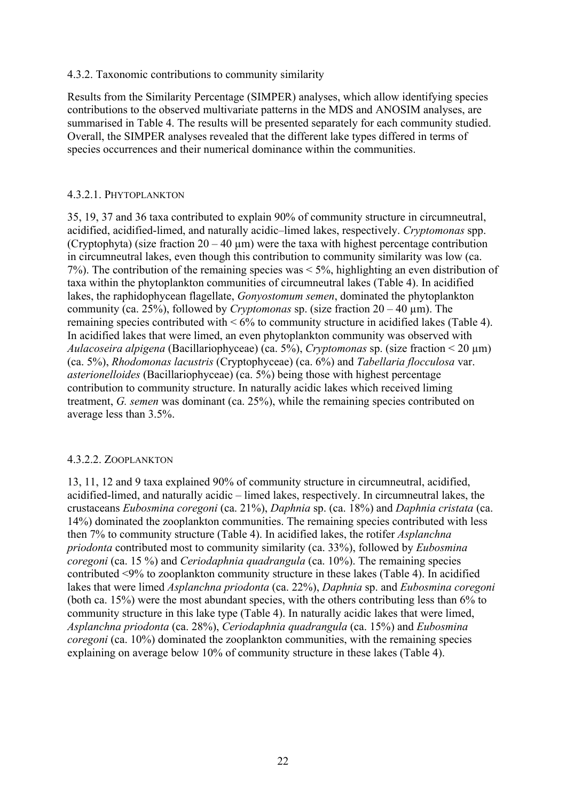## 4.3.2. Taxonomic contributions to community similarity

Results from the Similarity Percentage (SIMPER) analyses, which allow identifying species contributions to the observed multivariate patterns in the MDS and ANOSIM analyses, are summarised in Table 4. The results will be presented separately for each community studied. Overall, the SIMPER analyses revealed that the different lake types differed in terms of species occurrences and their numerical dominance within the communities.

## 4.3.2.1. PHYTOPLANKTON

35, 19, 37 and 36 taxa contributed to explain 90% of community structure in circumneutral, acidified, acidified-limed, and naturally acidic–limed lakes, respectively. *Cryptomonas* spp. (Cryptophyta) (size fraction  $20 - 40 \mu m$ ) were the taxa with highest percentage contribution in circumneutral lakes, even though this contribution to community similarity was low (ca. 7%). The contribution of the remaining species was < 5%, highlighting an even distribution of taxa within the phytoplankton communities of circumneutral lakes (Table 4). In acidified lakes, the raphidophycean flagellate, *Gonyostomum semen*, dominated the phytoplankton community (ca.  $25\%$ ), followed by *Cryptomonas* sp. (size fraction  $20 - 40$  um). The remaining species contributed with  $\leq 6\%$  to community structure in acidified lakes (Table 4). In acidified lakes that were limed, an even phytoplankton community was observed with *Aulacoseira alpigena* (Bacillariophyceae) (ca.  $5\%$ ), *Cryptomonas* sp. (size fraction < 20  $\mu$ m) (ca. 5%), *Rhodomonas lacustris* (Cryptophyceae) (ca. 6%) and *Tabellaria flocculosa* var. *asterionelloides* (Bacillariophyceae) (ca. 5%) being those with highest percentage contribution to community structure. In naturally acidic lakes which received liming treatment, *G. semen* was dominant (ca. 25%), while the remaining species contributed on average less than 3.5%.

# 4.3.2.2. ZOOPLANKTON

13, 11, 12 and 9 taxa explained 90% of community structure in circumneutral, acidified, acidified-limed, and naturally acidic – limed lakes, respectively. In circumneutral lakes, the crustaceans *Eubosmina coregoni* (ca. 21%), *Daphnia* sp. (ca. 18%) and *Daphnia cristata* (ca. 14%) dominated the zooplankton communities. The remaining species contributed with less then 7% to community structure (Table 4). In acidified lakes, the rotifer *Asplanchna priodonta* contributed most to community similarity (ca. 33%), followed by *Eubosmina coregoni* (ca. 15 %) and *Ceriodaphnia quadrangula* (ca. 10%). The remaining species contributed <9% to zooplankton community structure in these lakes (Table 4). In acidified lakes that were limed *Asplanchna priodonta* (ca. 22%), *Daphnia* sp. and *Eubosmina coregoni* (both ca. 15%) were the most abundant species, with the others contributing less than 6% to community structure in this lake type (Table 4). In naturally acidic lakes that were limed, *Asplanchna priodonta* (ca. 28%), *Ceriodaphnia quadrangula* (ca. 15%) and *Eubosmina coregoni* (ca. 10%) dominated the zooplankton communities, with the remaining species explaining on average below 10% of community structure in these lakes (Table 4).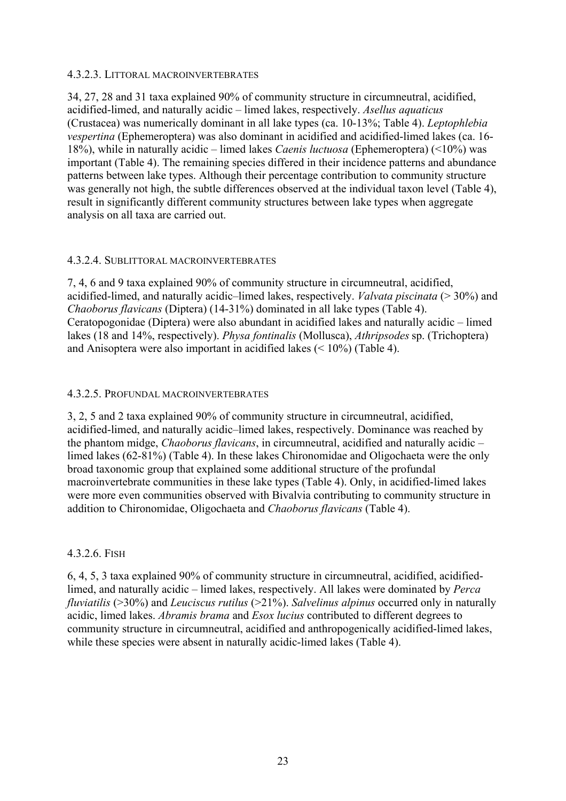# 4.3.2.3. LITTORAL MACROINVERTEBRATES

34, 27, 28 and 31 taxa explained 90% of community structure in circumneutral, acidified, acidified-limed, and naturally acidic – limed lakes, respectively. *Asellus aquaticus* (Crustacea) was numerically dominant in all lake types (ca. 10-13%; Table 4). *Leptophlebia vespertina* (Ephemeroptera) was also dominant in acidified and acidified-limed lakes (ca. 16- 18%), while in naturally acidic – limed lakes *Caenis luctuosa* (Ephemeroptera) (<10%) was important (Table 4). The remaining species differed in their incidence patterns and abundance patterns between lake types. Although their percentage contribution to community structure was generally not high, the subtle differences observed at the individual taxon level (Table 4), result in significantly different community structures between lake types when aggregate analysis on all taxa are carried out.

## 4.3.2.4. SUBLITTORAL MACROINVERTEBRATES

7, 4, 6 and 9 taxa explained 90% of community structure in circumneutral, acidified, acidified-limed, and naturally acidic–limed lakes, respectively. *Valvata piscinata* (> 30%) and *Chaoborus flavicans* (Diptera) (14-31%) dominated in all lake types (Table 4). Ceratopogonidae (Diptera) were also abundant in acidified lakes and naturally acidic – limed lakes (18 and 14%, respectively). *Physa fontinalis* (Mollusca), *Athripsodes* sp. (Trichoptera) and Anisoptera were also important in acidified lakes (< 10%) (Table 4).

## 4.3.2.5. PROFUNDAL MACROINVERTEBRATES

3, 2, 5 and 2 taxa explained 90% of community structure in circumneutral, acidified, acidified-limed, and naturally acidic–limed lakes, respectively. Dominance was reached by the phantom midge, *Chaoborus flavicans*, in circumneutral, acidified and naturally acidic – limed lakes (62-81%) (Table 4). In these lakes Chironomidae and Oligochaeta were the only broad taxonomic group that explained some additional structure of the profundal macroinvertebrate communities in these lake types (Table 4). Only, in acidified-limed lakes were more even communities observed with Bivalvia contributing to community structure in addition to Chironomidae, Oligochaeta and *Chaoborus flavicans* (Table 4).

# 4.3.2.6. FISH

6, 4, 5, 3 taxa explained 90% of community structure in circumneutral, acidified, acidifiedlimed, and naturally acidic – limed lakes, respectively. All lakes were dominated by *Perca fluviatilis* (>30%) and *Leuciscus rutilus* (>21%). *Salvelinus alpinus* occurred only in naturally acidic, limed lakes. *Abramis brama* and *Esox lucius* contributed to different degrees to community structure in circumneutral, acidified and anthropogenically acidified-limed lakes, while these species were absent in naturally acidic-limed lakes (Table 4).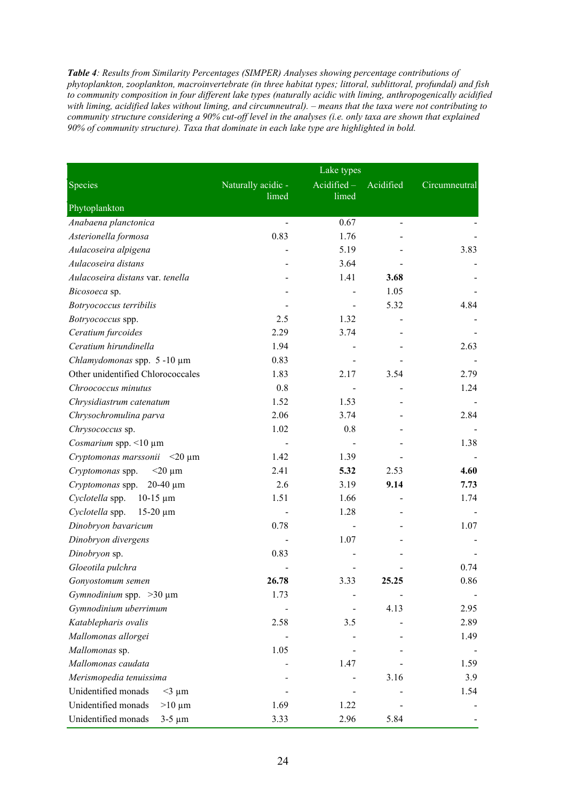*Table 4: Results from Similarity Percentages (SIMPER) Analyses showing percentage contributions of phytoplankton, zooplankton, macroinvertebrate (in three habitat types; littoral, sublittoral, profundal) and fish to community composition in four different lake types (naturally acidic with liming, anthropogenically acidified*  with liming, acidified lakes without liming, and circumneutral). – means that the taxa were not contributing to *community structure considering a 90% cut-off level in the analyses (i.e. only taxa are shown that explained 90% of community structure). Taxa that dominate in each lake type are highlighted in bold.*

|                                       |                    | Lake types    |               |               |
|---------------------------------------|--------------------|---------------|---------------|---------------|
| Species                               | Naturally acidic - | $Acidified -$ | Acidified     | Circumneutral |
| Phytoplankton                         | limed              | limed         |               |               |
| Anabaena planctonica                  | $\blacksquare$     | 0.67          | $\frac{1}{2}$ |               |
| Asterionella formosa                  | 0.83               | 1.76          |               |               |
| Aulacoseira alpigena                  |                    | 5.19          |               | 3.83          |
| Aulacoseira distans                   |                    | 3.64          |               |               |
| Aulacoseira distans var. tenella      |                    | 1.41          | 3.68          |               |
| Bicosoeca sp.                         |                    |               | 1.05          |               |
| Botryococcus terribilis               |                    |               | 5.32          | 4.84          |
| Botryococcus spp.                     | 2.5                | 1.32          |               |               |
| Ceratium furcoides                    | 2.29               | 3.74          |               |               |
| Ceratium hirundinella                 | 1.94               |               |               | 2.63          |
| Chlamydomonas spp. 5-10 µm            | 0.83               |               |               |               |
| Other unidentified Chlorococcales     | 1.83               | 2.17          | 3.54          | 2.79          |
| Chroococcus minutus                   | 0.8                |               |               | 1.24          |
| Chrysidiastrum catenatum              | 1.52               | 1.53          |               |               |
| Chrysochromulina parva                | 2.06               | 3.74          |               | 2.84          |
| Chrysococcus sp.                      | 1.02               | 0.8           |               |               |
| Cosmarium spp. <10 µm                 |                    |               |               | 1.38          |
| Cryptomonas marssonii $\leq 20 \mu m$ | 1.42               | 1.39          |               |               |
| Cryptomonas spp.<br>$<$ 20 $\mu$ m    | 2.41               | 5.32          | 2.53          | 4.60          |
| Cryptomonas spp. 20-40 µm             | 2.6                | 3.19          | 9.14          | 7.73          |
| Cyclotella spp.<br>$10-15 \mu m$      | 1.51               | 1.66          |               | 1.74          |
| Cyclotella spp.<br>$15-20 \mu m$      |                    | 1.28          |               |               |
| Dinobryon bavaricum                   | 0.78               |               |               | 1.07          |
| Dinobryon divergens                   |                    | 1.07          |               |               |
| Dinobryon sp.                         | 0.83               |               |               |               |
| Gloeotila pulchra                     |                    |               |               | 0.74          |
| Gonyostomum semen                     | 26.78              | 3.33          | 25.25         | 0.86          |
| Gymnodinium spp. > 30 µm              | 1.73               |               |               |               |
| Gymnodinium uberrimum                 |                    |               | 4.13          | 2.95          |
| Katablepharis ovalis                  | 2.58               | 3.5           |               | 2.89          |
| Mallomonas allorgei                   |                    |               |               | 1.49          |
| Mallomonas sp.                        | 1.05               |               |               |               |
| Mallomonas caudata                    |                    | 1.47          |               | 1.59          |
| Merismopedia tenuissima               |                    |               | 3.16          | 3.9           |
| Unidentified monads<br>$<$ 3 µm       |                    |               |               | 1.54          |
| Unidentified monads<br>$>10 \mu m$    | 1.69               | 1.22          |               |               |
| Unidentified monads<br>$3-5 \mu m$    | 3.33               | 2.96          | 5.84          |               |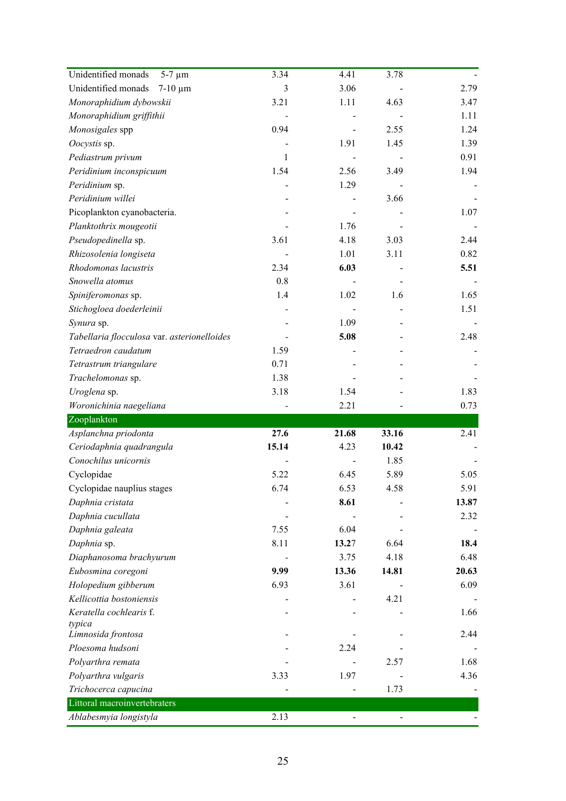| Unidentified monads<br>$5-7 \mu m$                     | 3.34  | 4.41  | 3.78  |       |
|--------------------------------------------------------|-------|-------|-------|-------|
| Unidentified monads<br>$7-10 \mu m$                    | 3     | 3.06  |       | 2.79  |
| Monoraphidium dybowskii                                | 3.21  | 1.11  | 4.63  | 3.47  |
| Monoraphidium griffithii                               |       |       |       | 1.11  |
| Monosigales spp                                        | 0.94  |       | 2.55  | 1.24  |
| Oocystis sp.                                           |       | 1.91  | 1.45  | 1.39  |
| Pediastrum privum                                      | 1     |       |       | 0.91  |
| Peridinium inconspicuum                                | 1.54  | 2.56  | 3.49  | 1.94  |
| Peridinium sp.                                         |       | 1.29  |       |       |
| Peridinium willei                                      |       |       | 3.66  |       |
| Picoplankton cyanobacteria.                            |       |       |       | 1.07  |
| Planktothrix mougeotii                                 |       | 1.76  |       |       |
| Pseudopedinella sp.                                    | 3.61  | 4.18  | 3.03  | 2.44  |
| Rhizosolenia longiseta                                 |       | 1.01  | 3.11  | 0.82  |
| Rhodomonas lacustris                                   | 2.34  | 6.03  |       | 5.51  |
| Snowella atomus                                        | 0.8   |       |       |       |
| Spiniferomonas sp.                                     | 1.4   | 1.02  | 1.6   | 1.65  |
| Stichogloea doederleinii                               |       |       |       | 1.51  |
| Synura sp.                                             |       | 1.09  |       |       |
| Tabellaria flocculosa var. asterionelloides            |       | 5.08  |       | 2.48  |
| Tetraedron caudatum                                    | 1.59  |       |       |       |
| Tetrastrum triangulare                                 | 0.71  |       |       |       |
| Trachelomonas sp.                                      | 1.38  |       |       |       |
| Uroglena sp.                                           | 3.18  | 1.54  |       | 1.83  |
|                                                        |       |       |       |       |
|                                                        |       | 2.21  |       | 0.73  |
| Woronichinia naegeliana<br>Zooplankton                 |       |       |       |       |
| Asplanchna priodonta                                   | 27.6  | 21.68 | 33.16 | 2.41  |
| Ceriodaphnia quadrangula                               | 15.14 | 4.23  | 10.42 |       |
| Conochilus unicornis                                   |       |       | 1.85  |       |
| Cyclopidae                                             | 5.22  | 6.45  | 5.89  | 5.05  |
| Cyclopidae nauplius stages                             | 6.74  | 6.53  | 4.58  | 5.91  |
| Daphnia cristata                                       |       | 8.61  |       | 13.87 |
| Daphnia cucullata                                      |       |       |       | 2.32  |
|                                                        | 7.55  | 6.04  |       |       |
| Daphnia galeata                                        | 8.11  | 13.27 | 6.64  | 18.4  |
| Daphnia sp.<br>Diaphanosoma brachyurum                 |       | 3.75  | 4.18  | 6.48  |
|                                                        | 9.99  | 13.36 | 14.81 | 20.63 |
| Eubosmina coregoni                                     | 6.93  | 3.61  |       | 6.09  |
| Holopedium gibberum<br>Kellicottia bostoniensis        |       |       | 4.21  |       |
| Keratella cochlearis f.                                |       |       |       | 1.66  |
| typica                                                 |       |       |       |       |
| Limnosida frontosa                                     |       |       |       | 2.44  |
| Ploesoma hudsoni                                       |       | 2.24  |       |       |
| Polyarthra remata                                      |       |       | 2.57  | 1.68  |
| Polyarthra vulgaris                                    | 3.33  | 1.97  |       | 4.36  |
| Trichocerca capucina                                   |       |       | 1.73  |       |
| Littoral macroinvertebraters<br>Ablabesmyia longistyla | 2.13  |       |       |       |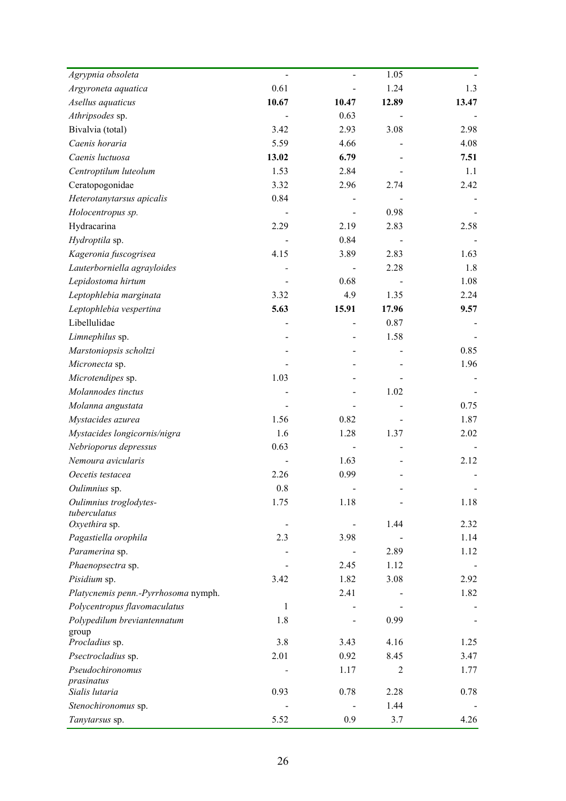| Agrypnia obsoleta                    |       |       | 1.05           |       |
|--------------------------------------|-------|-------|----------------|-------|
| Argyroneta aquatica                  | 0.61  |       | 1.24           | 1.3   |
| Asellus aquaticus                    | 10.67 | 10.47 | 12.89          | 13.47 |
| Athripsodes sp.                      |       | 0.63  |                |       |
| Bivalvia (total)                     | 3.42  | 2.93  | 3.08           | 2.98  |
| Caenis horaria                       | 5.59  | 4.66  |                | 4.08  |
| Caenis luctuosa                      | 13.02 | 6.79  |                | 7.51  |
| Centroptilum luteolum                | 1.53  | 2.84  |                | 1.1   |
| Ceratopogonidae                      | 3.32  | 2.96  | 2.74           | 2.42  |
| Heterotanytarsus apicalis            | 0.84  |       |                |       |
| Holocentropus sp.                    |       |       | 0.98           |       |
| Hydracarina                          | 2.29  | 2.19  | 2.83           | 2.58  |
| Hydroptila sp.                       |       | 0.84  |                |       |
| Kageronia fuscogrisea                | 4.15  | 3.89  | 2.83           | 1.63  |
| Lauterborniella agrayloides          |       |       | 2.28           | 1.8   |
| Lepidostoma hirtum                   |       | 0.68  |                | 1.08  |
| Leptophlebia marginata               | 3.32  | 4.9   | 1.35           | 2.24  |
| Leptophlebia vespertina              | 5.63  | 15.91 | 17.96          | 9.57  |
| Libellulidae                         |       |       | 0.87           |       |
| Limnephilus sp.                      |       |       | 1.58           |       |
| Marstoniopsis scholtzi               |       |       |                | 0.85  |
| Micronecta sp.                       |       |       |                | 1.96  |
| Microtendipes sp.                    | 1.03  |       |                |       |
| Molannodes tinctus                   |       |       | 1.02           |       |
| Molanna angustata                    |       |       |                | 0.75  |
| Mystacides azurea                    | 1.56  | 0.82  |                | 1.87  |
| Mystacides longicornis/nigra         | 1.6   | 1.28  | 1.37           | 2.02  |
| Nebrioporus depressus                | 0.63  |       |                |       |
| Nemoura avicularis                   |       | 1.63  |                | 2.12  |
| Oecetis testacea                     | 2.26  | 0.99  |                |       |
| Oulimnius sp.                        | 0.8   |       |                |       |
| Oulimnius troglodytes-               | 1.75  | 1.18  |                | 1.18  |
| tuberculatus                         |       |       |                |       |
| Oxyethira sp.                        |       |       | 1.44           | 2.32  |
| Pagastiella orophila                 | 2.3   | 3.98  |                | 1.14  |
| Paramerina sp.                       |       |       | 2.89           | 1.12  |
| Phaenopsectra sp.                    |       | 2.45  | 1.12           |       |
| Pisidium sp.                         | 3.42  | 1.82  | 3.08           | 2.92  |
| Platycnemis penn.-Pyrrhosoma nymph.  |       | 2.41  |                | 1.82  |
| Polycentropus flavomaculatus         | 1     |       |                |       |
| Polypedilum breviantennatum<br>group | 1.8   |       | 0.99           |       |
| Procladius sp.                       | 3.8   | 3.43  | 4.16           | 1.25  |
| Psectrocladius sp.                   | 2.01  | 0.92  | 8.45           | 3.47  |
| Pseudochironomus                     |       | 1.17  | $\overline{2}$ | 1.77  |
| prasinatus                           |       |       |                |       |
| Sialis lutaria                       | 0.93  | 0.78  | 2.28           | 0.78  |
| Stenochironomus sp.                  |       |       | 1.44           |       |
| Tanytarsus sp.                       | 5.52  | 0.9   | 3.7            | 4.26  |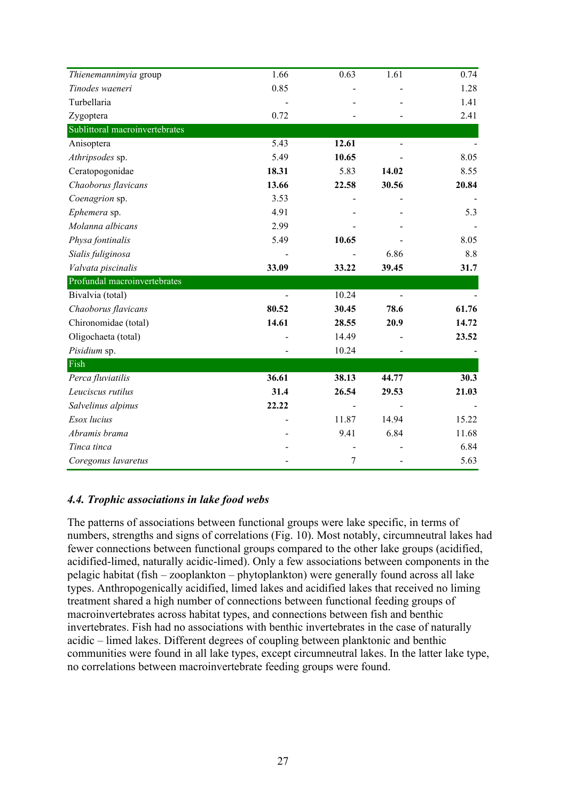| Thienemannimyia group          | 1.66  | 0.63  | 1.61           | 0.74  |
|--------------------------------|-------|-------|----------------|-------|
| Tinodes waeneri                | 0.85  |       |                | 1.28  |
| Turbellaria                    |       |       |                | 1.41  |
| Zygoptera                      | 0.72  |       |                | 2.41  |
| Sublittoral macroinvertebrates |       |       |                |       |
| Anisoptera                     | 5.43  | 12.61 |                |       |
| Athripsodes sp.                | 5.49  | 10.65 |                | 8.05  |
| Ceratopogonidae                | 18.31 | 5.83  | 14.02          | 8.55  |
| Chaoborus flavicans            | 13.66 | 22.58 | 30.56          | 20.84 |
| Coenagrion sp.                 | 3.53  |       |                |       |
| Ephemera sp.                   | 4.91  |       |                | 5.3   |
| Molanna albicans               | 2.99  |       |                |       |
| Physa fontinalis               | 5.49  | 10.65 |                | 8.05  |
| Sialis fuliginosa              |       |       | 6.86           | 8.8   |
| Valvata piscinalis             | 33.09 | 33.22 | 39.45          | 31.7  |
| Profundal macroinvertebrates   |       |       |                |       |
| Bivalvia (total)               |       | 10.24 | $\overline{a}$ |       |
| Chaoborus flavicans            | 80.52 | 30.45 | 78.6           | 61.76 |
| Chironomidae (total)           | 14.61 | 28.55 | 20.9           | 14.72 |
| Oligochaeta (total)            |       | 14.49 |                | 23.52 |
| Pisidium sp.                   |       | 10.24 |                |       |
| Fish                           |       |       |                |       |
| Perca fluviatilis              | 36.61 | 38.13 | 44.77          | 30.3  |
| Leuciscus rutilus              | 31.4  | 26.54 | 29.53          | 21.03 |
| Salvelinus alpinus             | 22.22 |       |                |       |
| Esox lucius                    |       | 11.87 | 14.94          | 15.22 |
| Abramis brama                  |       | 9.41  | 6.84           | 11.68 |
| Tinca tinca                    |       |       |                | 6.84  |
| Coregonus lavaretus            |       | 7     |                | 5.63  |

# *4.4. Trophic associations in lake food webs*

The patterns of associations between functional groups were lake specific, in terms of numbers, strengths and signs of correlations (Fig. 10). Most notably, circumneutral lakes had fewer connections between functional groups compared to the other lake groups (acidified, acidified-limed, naturally acidic-limed). Only a few associations between components in the pelagic habitat (fish – zooplankton – phytoplankton) were generally found across all lake types. Anthropogenically acidified, limed lakes and acidified lakes that received no liming treatment shared a high number of connections between functional feeding groups of macroinvertebrates across habitat types, and connections between fish and benthic invertebrates. Fish had no associations with benthic invertebrates in the case of naturally acidic – limed lakes. Different degrees of coupling between planktonic and benthic communities were found in all lake types, except circumneutral lakes. In the latter lake type, no correlations between macroinvertebrate feeding groups were found.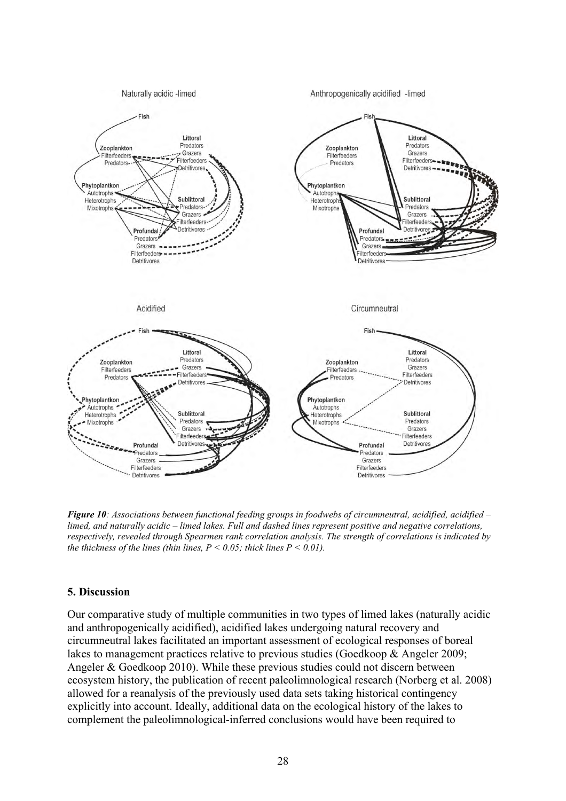

*Figure 10: Associations between functional feeding groups in foodwebs of circumneutral, acidified, acidified – limed, and naturally acidic – limed lakes. Full and dashed lines represent positive and negative correlations, respectively, revealed through Spearmen rank correlation analysis. The strength of correlations is indicated by the thickness of the lines (thin lines,*  $P \le 0.05$ *; thick lines*  $P \le 0.01$ *).* 

### **5. Discussion**

Our comparative study of multiple communities in two types of limed lakes (naturally acidic and anthropogenically acidified), acidified lakes undergoing natural recovery and circumneutral lakes facilitated an important assessment of ecological responses of boreal lakes to management practices relative to previous studies (Goedkoop & Angeler 2009; Angeler & Goedkoop 2010). While these previous studies could not discern between ecosystem history, the publication of recent paleolimnological research (Norberg et al. 2008) allowed for a reanalysis of the previously used data sets taking historical contingency explicitly into account. Ideally, additional data on the ecological history of the lakes to complement the paleolimnological-inferred conclusions would have been required to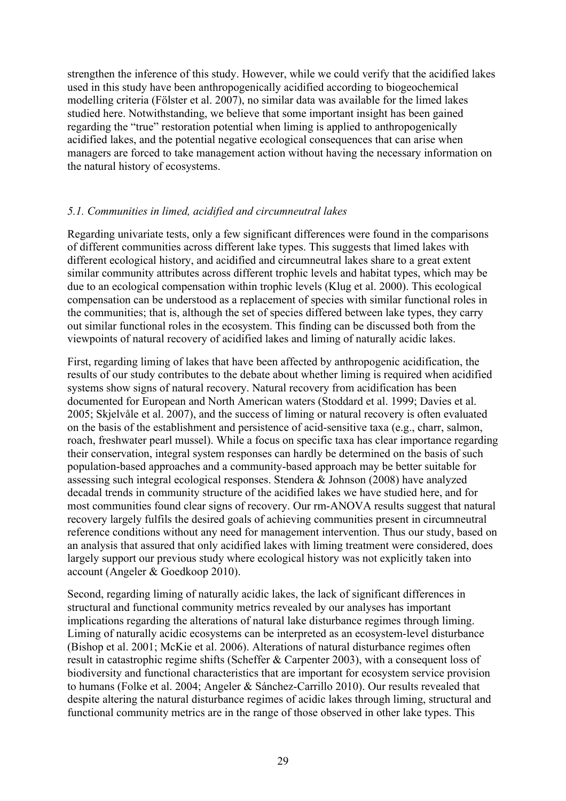strengthen the inference of this study. However, while we could verify that the acidified lakes used in this study have been anthropogenically acidified according to biogeochemical modelling criteria (Fölster et al. 2007), no similar data was available for the limed lakes studied here. Notwithstanding, we believe that some important insight has been gained regarding the "true" restoration potential when liming is applied to anthropogenically acidified lakes, and the potential negative ecological consequences that can arise when managers are forced to take management action without having the necessary information on the natural history of ecosystems.

# *5.1. Communities in limed, acidified and circumneutral lakes*

Regarding univariate tests, only a few significant differences were found in the comparisons of different communities across different lake types. This suggests that limed lakes with different ecological history, and acidified and circumneutral lakes share to a great extent similar community attributes across different trophic levels and habitat types, which may be due to an ecological compensation within trophic levels (Klug et al. 2000). This ecological compensation can be understood as a replacement of species with similar functional roles in the communities; that is, although the set of species differed between lake types, they carry out similar functional roles in the ecosystem. This finding can be discussed both from the viewpoints of natural recovery of acidified lakes and liming of naturally acidic lakes.

First, regarding liming of lakes that have been affected by anthropogenic acidification, the results of our study contributes to the debate about whether liming is required when acidified systems show signs of natural recovery. Natural recovery from acidification has been documented for European and North American waters (Stoddard et al. 1999; Davies et al. 2005; Skjelvåle et al. 2007), and the success of liming or natural recovery is often evaluated on the basis of the establishment and persistence of acid-sensitive taxa (e.g., charr, salmon, roach, freshwater pearl mussel). While a focus on specific taxa has clear importance regarding their conservation, integral system responses can hardly be determined on the basis of such population-based approaches and a community-based approach may be better suitable for assessing such integral ecological responses. Stendera & Johnson (2008) have analyzed decadal trends in community structure of the acidified lakes we have studied here, and for most communities found clear signs of recovery. Our rm-ANOVA results suggest that natural recovery largely fulfils the desired goals of achieving communities present in circumneutral reference conditions without any need for management intervention. Thus our study, based on an analysis that assured that only acidified lakes with liming treatment were considered, does largely support our previous study where ecological history was not explicitly taken into account (Angeler & Goedkoop 2010).

Second, regarding liming of naturally acidic lakes, the lack of significant differences in structural and functional community metrics revealed by our analyses has important implications regarding the alterations of natural lake disturbance regimes through liming. Liming of naturally acidic ecosystems can be interpreted as an ecosystem-level disturbance (Bishop et al. 2001; McKie et al. 2006). Alterations of natural disturbance regimes often result in catastrophic regime shifts (Scheffer & Carpenter 2003), with a consequent loss of biodiversity and functional characteristics that are important for ecosystem service provision to humans (Folke et al. 2004; Angeler & Sánchez-Carrillo 2010). Our results revealed that despite altering the natural disturbance regimes of acidic lakes through liming, structural and functional community metrics are in the range of those observed in other lake types. This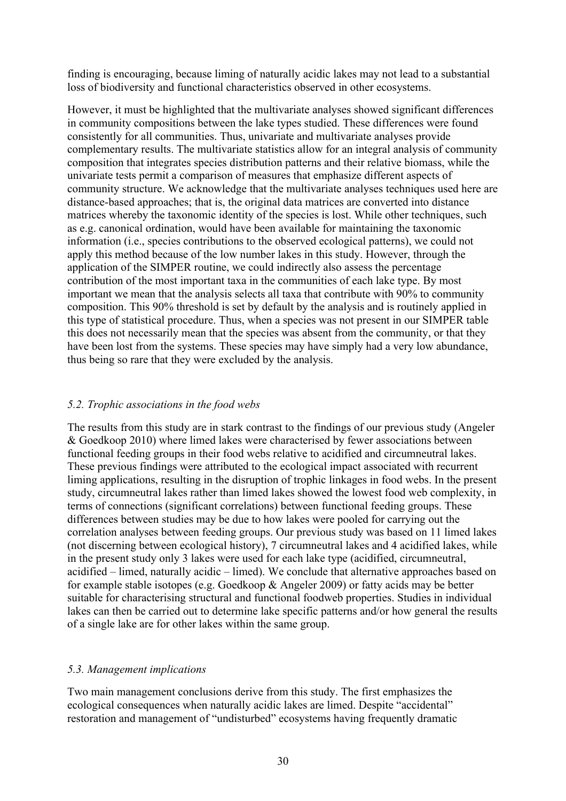finding is encouraging, because liming of naturally acidic lakes may not lead to a substantial loss of biodiversity and functional characteristics observed in other ecosystems.

However, it must be highlighted that the multivariate analyses showed significant differences in community compositions between the lake types studied. These differences were found consistently for all communities. Thus, univariate and multivariate analyses provide complementary results. The multivariate statistics allow for an integral analysis of community composition that integrates species distribution patterns and their relative biomass, while the univariate tests permit a comparison of measures that emphasize different aspects of community structure. We acknowledge that the multivariate analyses techniques used here are distance-based approaches; that is, the original data matrices are converted into distance matrices whereby the taxonomic identity of the species is lost. While other techniques, such as e.g. canonical ordination, would have been available for maintaining the taxonomic information (i.e., species contributions to the observed ecological patterns), we could not apply this method because of the low number lakes in this study. However, through the application of the SIMPER routine, we could indirectly also assess the percentage contribution of the most important taxa in the communities of each lake type. By most important we mean that the analysis selects all taxa that contribute with 90% to community composition. This 90% threshold is set by default by the analysis and is routinely applied in this type of statistical procedure. Thus, when a species was not present in our SIMPER table this does not necessarily mean that the species was absent from the community, or that they have been lost from the systems. These species may have simply had a very low abundance, thus being so rare that they were excluded by the analysis.

## *5.2. Trophic associations in the food webs*

The results from this study are in stark contrast to the findings of our previous study (Angeler & Goedkoop 2010) where limed lakes were characterised by fewer associations between functional feeding groups in their food webs relative to acidified and circumneutral lakes. These previous findings were attributed to the ecological impact associated with recurrent liming applications, resulting in the disruption of trophic linkages in food webs. In the present study, circumneutral lakes rather than limed lakes showed the lowest food web complexity, in terms of connections (significant correlations) between functional feeding groups. These differences between studies may be due to how lakes were pooled for carrying out the correlation analyses between feeding groups. Our previous study was based on 11 limed lakes (not discerning between ecological history), 7 circumneutral lakes and 4 acidified lakes, while in the present study only 3 lakes were used for each lake type (acidified, circumneutral, acidified – limed, naturally acidic – limed). We conclude that alternative approaches based on for example stable isotopes (e.g. Goedkoop & Angeler 2009) or fatty acids may be better suitable for characterising structural and functional foodweb properties. Studies in individual lakes can then be carried out to determine lake specific patterns and/or how general the results of a single lake are for other lakes within the same group.

# *5.3. Management implications*

Two main management conclusions derive from this study. The first emphasizes the ecological consequences when naturally acidic lakes are limed. Despite "accidental" restoration and management of "undisturbed" ecosystems having frequently dramatic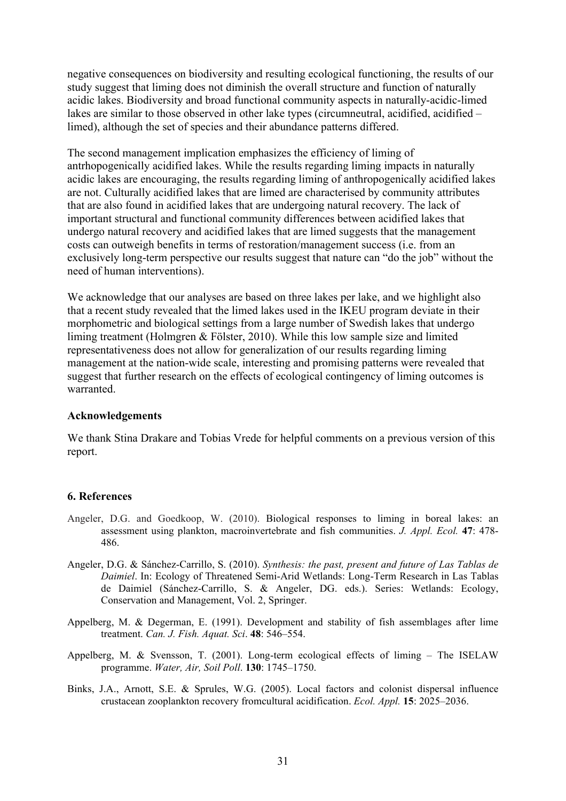negative consequences on biodiversity and resulting ecological functioning, the results of our study suggest that liming does not diminish the overall structure and function of naturally acidic lakes. Biodiversity and broad functional community aspects in naturally-acidic-limed lakes are similar to those observed in other lake types (circumneutral, acidified, acidified – limed), although the set of species and their abundance patterns differed.

The second management implication emphasizes the efficiency of liming of antrhopogenically acidified lakes. While the results regarding liming impacts in naturally acidic lakes are encouraging, the results regarding liming of anthropogenically acidified lakes are not. Culturally acidified lakes that are limed are characterised by community attributes that are also found in acidified lakes that are undergoing natural recovery. The lack of important structural and functional community differences between acidified lakes that undergo natural recovery and acidified lakes that are limed suggests that the management costs can outweigh benefits in terms of restoration/management success (i.e. from an exclusively long-term perspective our results suggest that nature can "do the job" without the need of human interventions).

We acknowledge that our analyses are based on three lakes per lake, and we highlight also that a recent study revealed that the limed lakes used in the IKEU program deviate in their morphometric and biological settings from a large number of Swedish lakes that undergo liming treatment (Holmgren & Fölster, 2010). While this low sample size and limited representativeness does not allow for generalization of our results regarding liming management at the nation-wide scale, interesting and promising patterns were revealed that suggest that further research on the effects of ecological contingency of liming outcomes is warranted.

#### **Acknowledgements**

We thank Stina Drakare and Tobias Vrede for helpful comments on a previous version of this report.

### **6. References**

- Angeler, D.G. and Goedkoop, W. (2010). Biological responses to liming in boreal lakes: an assessment using plankton, macroinvertebrate and fish communities. *J. Appl. Ecol.* **47**: 478- 486.
- Angeler, D.G. & Sánchez-Carrillo, S. (2010). *Synthesis: the past, present and future of Las Tablas de Daimiel*. In: Ecology of Threatened Semi-Arid Wetlands: Long-Term Research in Las Tablas de Daimiel (Sánchez-Carrillo, S. & Angeler, DG. eds.). Series: Wetlands: Ecology, Conservation and Management, Vol. 2, Springer.
- Appelberg, M. & Degerman, E. (1991). Development and stability of fish assemblages after lime treatment. *Can. J. Fish. Aquat. Sci*. **48**: 546–554.
- Appelberg, M. & Svensson, T. (2001). Long-term ecological effects of liming The ISELAW programme. *Water, Air, Soil Poll*. **130**: 1745–1750.
- Binks, J.A., Arnott, S.E. & Sprules, W.G. (2005). Local factors and colonist dispersal influence crustacean zooplankton recovery fromcultural acidification. *Ecol. Appl.* **15**: 2025–2036.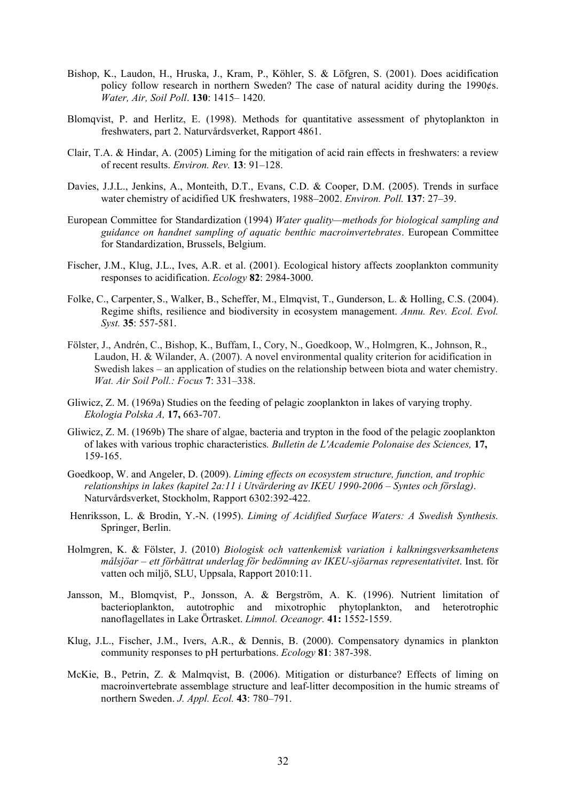- Bishop, K., Laudon, H., Hruska, J., Kram, P., Köhler, S. & Löfgren, S. (2001). Does acidification policy follow research in northern Sweden? The case of natural acidity during the 1990¢s. *Water, Air, Soil Poll*. **130**: 1415– 1420.
- Blomqvist, P. and Herlitz, E. (1998). Methods for quantitative assessment of phytoplankton in freshwaters, part 2. Naturvårdsverket, Rapport 4861.
- Clair, T.A. & Hindar, A. (2005) Liming for the mitigation of acid rain effects in freshwaters: a review of recent results. *Environ. Rev.* **13**: 91–128.
- Davies, J.J.L., Jenkins, A., Monteith, D.T., Evans, C.D. & Cooper, D.M. (2005). Trends in surface water chemistry of acidified UK freshwaters, 1988–2002. *Environ. Poll.* **137**: 27–39.
- European Committee for Standardization (1994) *Water quality—methods for biological sampling and guidance on handnet sampling of aquatic benthic macroinvertebrates*. European Committee for Standardization, Brussels, Belgium.
- Fischer, J.M., Klug, J.L., Ives, A.R. et al. (2001). Ecological history affects zooplankton community responses to acidification. *Ecology* **82**: 2984-3000.
- Folke, C., Carpenter, S., Walker, B., Scheffer, M., Elmqvist, T., Gunderson, L. & Holling, C.S. (2004). Regime shifts, resilience and biodiversity in ecosystem management. *Annu. Rev. Ecol. Evol. Syst.* **35**: 557-581.
- Fölster, J., Andrén, C., Bishop, K., Buffam, I., Cory, N., Goedkoop, W., Holmgren, K., Johnson, R., Laudon, H. & Wilander, A. (2007). A novel environmental quality criterion for acidification in Swedish lakes – an application of studies on the relationship between biota and water chemistry. *Wat. Air Soil Poll.: Focus* **7**: 331–338.
- Gliwicz, Z. M. (1969a) Studies on the feeding of pelagic zooplankton in lakes of varying trophy. *Ekologia Polska A,* **17,** 663-707.
- Gliwicz, Z. M. (1969b) The share of algae, bacteria and trypton in the food of the pelagic zooplankton of lakes with various trophic characteristics*. Bulletin de L'Academie Polonaise des Sciences,* **17,**  159-165.
- Goedkoop, W. and Angeler, D. (2009). *Liming effects on ecosystem structure, function, and trophic relationships in lakes (kapitel 2a:11 i Utvärdering av IKEU 1990-2006 – Syntes och förslag)*. Naturvårdsverket, Stockholm, Rapport 6302:392-422.
- Henriksson, L. & Brodin, Y.-N. (1995). *Liming of Acidified Surface Waters: A Swedish Synthesis.* Springer, Berlin.
- Holmgren, K. & Fölster, J. (2010) *Biologisk och vattenkemisk variation i kalkningsverksamhetens målsjöar – ett förbättrat underlag för bedömning av IKEU-sjöarnas representativitet*. Inst. för vatten och miljö, SLU, Uppsala, Rapport 2010:11.
- Jansson, M., Blomqvist, P., Jonsson, A. & Bergström, A. K. (1996). Nutrient limitation of bacterioplankton, autotrophic and mixotrophic phytoplankton, and heterotrophic nanoflagellates in Lake Örtrasket. *Limnol. Oceanogr.* **41:** 1552-1559.
- Klug, J.L., Fischer, J.M., Ivers, A.R., & Dennis, B. (2000). Compensatory dynamics in plankton community responses to pH perturbations. *Ecology* **81**: 387-398.
- McKie, B., Petrin, Z. & Malmqvist, B. (2006). Mitigation or disturbance? Effects of liming on macroinvertebrate assemblage structure and leaf-litter decomposition in the humic streams of northern Sweden. *J. Appl. Ecol.* **43**: 780–791.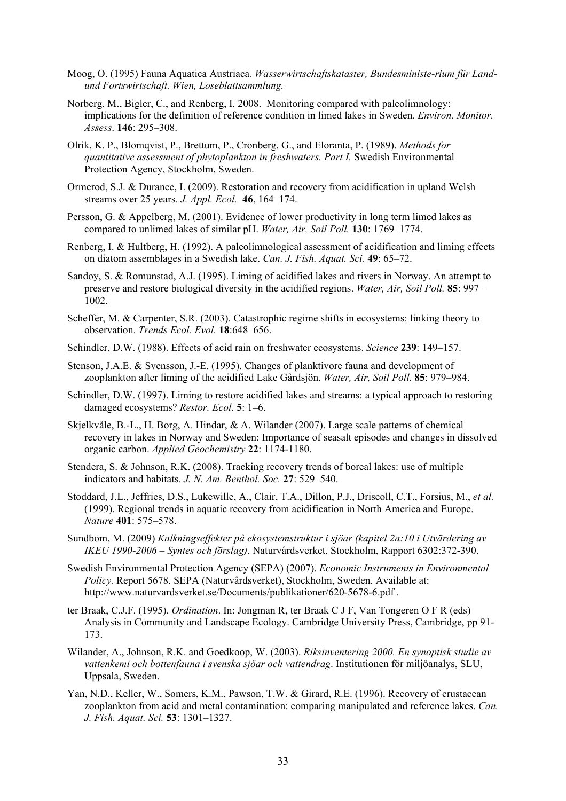- Moog, O. (1995) Fauna Aquatica Austriaca*. Wasserwirtschaftskataster, Bundesministe-rium für Landund Fortswirtschaft. Wien, Loseblattsammlung.*
- Norberg, M., Bigler, C., and Renberg, I. 2008. Monitoring compared with paleolimnology: implications for the definition of reference condition in limed lakes in Sweden. *Environ. Monitor. Assess*. **146**: 295–308.
- Olrik, K. P., Blomqvist, P., Brettum, P., Cronberg, G., and Eloranta, P. (1989). *Methods for quantitative assessment of phytoplankton in freshwaters. Part I.* Swedish Environmental Protection Agency, Stockholm, Sweden.
- Ormerod, S.J. & Durance, I. (2009). Restoration and recovery from acidification in upland Welsh streams over 25 years. *J. Appl. Ecol.* **46**, 164–174.
- Persson, G. & Appelberg, M. (2001). Evidence of lower productivity in long term limed lakes as compared to unlimed lakes of similar pH. *Water, Air, Soil Poll.* **130**: 1769–1774.
- Renberg, I. & Hultberg, H. (1992). A paleolimnological assessment of acidification and liming effects on diatom assemblages in a Swedish lake. *Can. J. Fish. Aquat. Sci.* **49**: 65–72.
- Sandoy, S. & Romunstad, A.J. (1995). Liming of acidified lakes and rivers in Norway. An attempt to preserve and restore biological diversity in the acidified regions. *Water, Air, Soil Poll.* **85**: 997– 1002.
- Scheffer, M. & Carpenter, S.R. (2003). Catastrophic regime shifts in ecosystems: linking theory to observation. *Trends Ecol. Evol.* **18**:648–656.
- Schindler, D.W. (1988). Effects of acid rain on freshwater ecosystems. *Science* **239**: 149–157.
- Stenson, J.A.E. & Svensson, J.-E. (1995). Changes of planktivore fauna and development of zooplankton after liming of the acidified Lake Gårdsjön. *Water, Air, Soil Poll.* **85**: 979–984.
- Schindler, D.W. (1997). Liming to restore acidified lakes and streams: a typical approach to restoring damaged ecosystems? *Restor. Ecol*. **5**: 1–6.
- Skjelkvåle, B.-L., H. Borg, A. Hindar, & A. Wilander (2007). Large scale patterns of chemical recovery in lakes in Norway and Sweden: Importance of seasalt episodes and changes in dissolved organic carbon. *Applied Geochemistry* **22**: 1174-1180.
- Stendera, S. & Johnson, R.K. (2008). Tracking recovery trends of boreal lakes: use of multiple indicators and habitats. *J. N. Am. Benthol. Soc.* **27**: 529–540.
- Stoddard, J.L., Jeffries, D.S., Lukewille, A., Clair, T.A., Dillon, P.J., Driscoll, C.T., Forsius, M., *et al.* (1999). Regional trends in aquatic recovery from acidification in North America and Europe. *Nature* **401**: 575–578.
- Sundbom, M. (2009) *Kalkningseffekter på ekosystemstruktur i sjöar (kapitel 2a:10 i Utvärdering av IKEU 1990-2006 – Syntes och förslag)*. Naturvårdsverket, Stockholm, Rapport 6302:372-390.
- Swedish Environmental Protection Agency (SEPA) (2007). *Economic Instruments in Environmental Policy.* Report 5678. SEPA (Naturvårdsverket), Stockholm, Sweden. Available at: http://www.naturvardsverket.se/Documents/publikationer/620-5678-6.pdf .
- ter Braak, C.J.F. (1995). *Ordination*. In: Jongman R, ter Braak C J F, Van Tongeren O F R (eds) Analysis in Community and Landscape Ecology. Cambridge University Press, Cambridge, pp 91- 173.
- Wilander, A., Johnson, R.K. and Goedkoop, W. (2003). *Riksinventering 2000. En synoptisk studie av vattenkemi och bottenfauna i svenska sjöar och vattendrag*. Institutionen för miljöanalys, SLU, Uppsala, Sweden.
- Yan, N.D., Keller, W., Somers, K.M., Pawson, T.W. & Girard, R.E. (1996). Recovery of crustacean zooplankton from acid and metal contamination: comparing manipulated and reference lakes. *Can. J. Fish. Aquat. Sci.* **53**: 1301–1327.